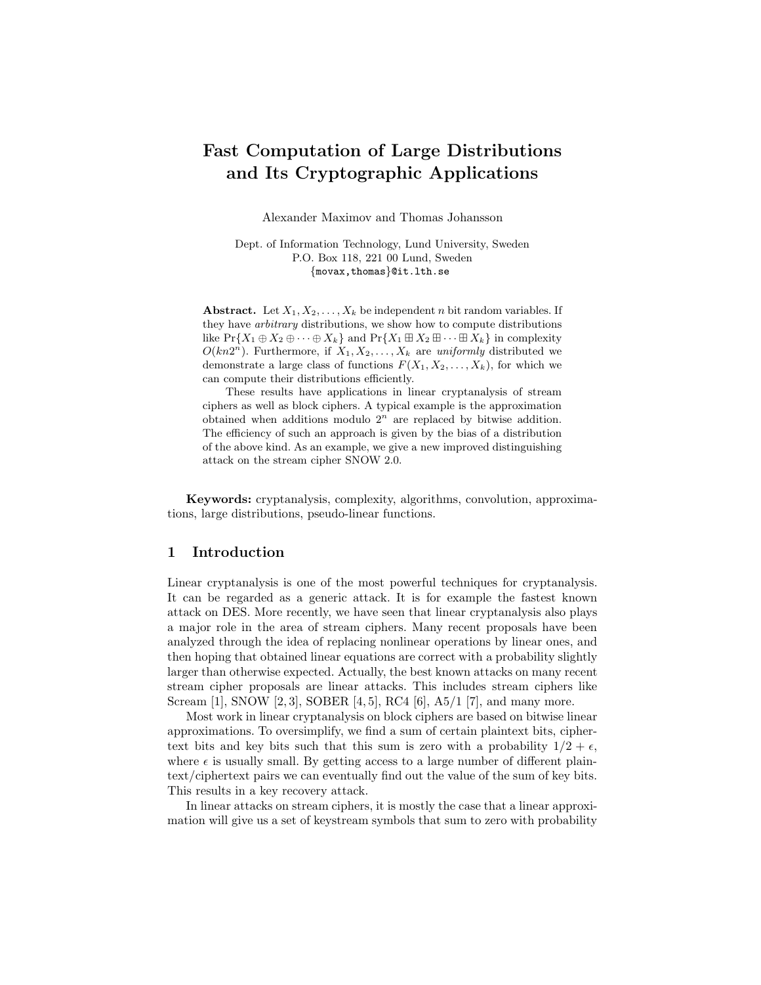# **Fast Computation of Large Distributions and Its Cryptographic Applications**

Alexander Maximov and Thomas Johansson

Dept. of Information Technology, Lund University, Sweden P.O. Box 118, 221 00 Lund, Sweden {movax,thomas}@it.lth.se

**Abstract.** Let  $X_1, X_2, \ldots, X_k$  be independent n bit random variables. If they have *arbitrary* distributions, we show how to compute distributions like  $Pr{X_1 \oplus X_2 \oplus \cdots \oplus X_k}$  and  $Pr{X_1 \boxplus X_2 \boxplus \cdots \boxplus X_k}$  in complexity  $O(kn2<sup>n</sup>)$ . Furthermore, if  $X_1, X_2, \ldots, X_k$  are *uniformly* distributed we demonstrate a large class of functions  $F(X_1, X_2, \ldots, X_k)$ , for which we can compute their distributions efficiently.

These results have applications in linear cryptanalysis of stream ciphers as well as block ciphers. A typical example is the approximation obtained when additions modulo 2*<sup>n</sup>* are replaced by bitwise addition. The efficiency of such an approach is given by the bias of a distribution of the above kind. As an example, we give a new improved distinguishing attack on the stream cipher SNOW 2.0.

**Keywords:** cryptanalysis, complexity, algorithms, convolution, approximations, large distributions, pseudo-linear functions.

## **1 Introduction**

Linear cryptanalysis is one of the most powerful techniques for cryptanalysis. It can be regarded as a generic attack. It is for example the fastest known attack on DES. More recently, we have seen that linear cryptanalysis also plays a major role in the area of stream ciphers. Many recent proposals have been analyzed through the idea of replacing nonlinear operations by linear ones, and then hoping that obtained linear equations are correct with a probability slightly larger than otherwise expected. Actually, the best known attacks on many recent stream cipher proposals are linear attacks. This includes stream ciphers like Scream [1], SNOW [2, 3], SOBER [4, 5], RC4 [6], A5/1 [7], and many more.

Most work in linear cryptanalysis on block ciphers are based on bitwise linear approximations. To oversimplify, we find a sum of certain plaintext bits, ciphertext bits and key bits such that this sum is zero with a probability  $1/2 + \epsilon$ , where  $\epsilon$  is usually small. By getting access to a large number of different plaintext/ciphertext pairs we can eventually find out the value of the sum of key bits. This results in a key recovery attack.

In linear attacks on stream ciphers, it is mostly the case that a linear approximation will give us a set of keystream symbols that sum to zero with probability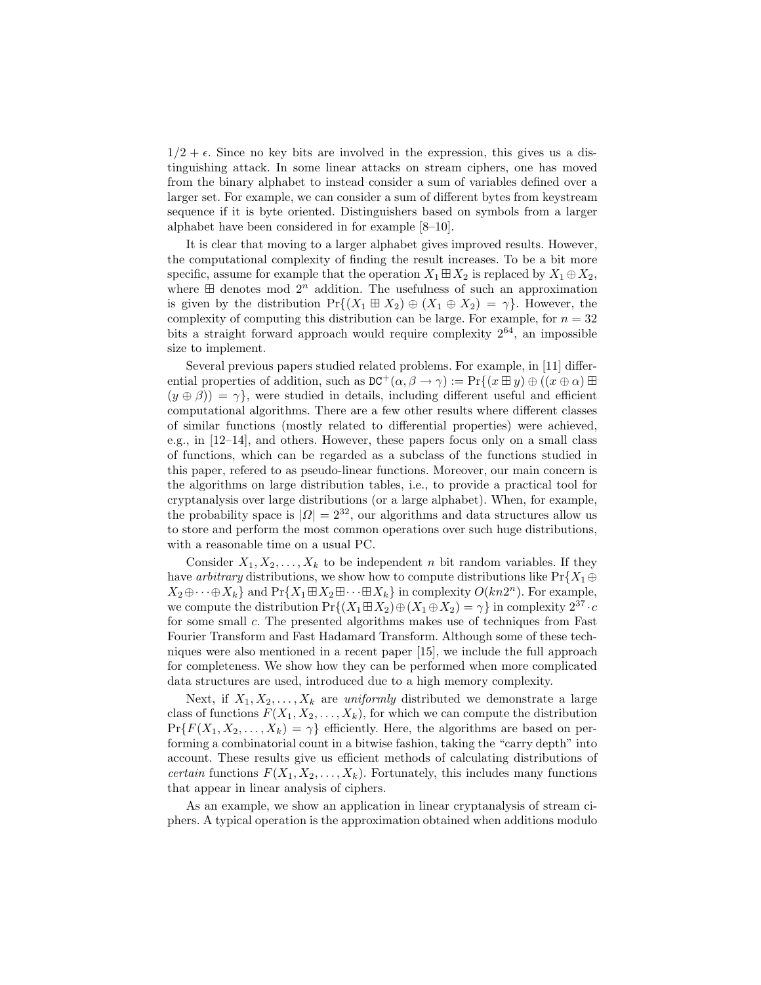$1/2 + \epsilon$ . Since no key bits are involved in the expression, this gives us a distinguishing attack. In some linear attacks on stream ciphers, one has moved from the binary alphabet to instead consider a sum of variables defined over a larger set. For example, we can consider a sum of different bytes from keystream sequence if it is byte oriented. Distinguishers based on symbols from a larger alphabet have been considered in for example [8–10].

It is clear that moving to a larger alphabet gives improved results. However, the computational complexity of finding the result increases. To be a bit more specific, assume for example that the operation  $X_1 \boxplus X_2$  is replaced by  $X_1 \oplus X_2$ , where  $\boxplus$  denotes mod  $2^n$  addition. The usefulness of such an approximation is given by the distribution  $Pr\{(X_1 \boxplus X_2) \oplus (X_1 \oplus X_2) = \gamma\}$ . However, the complexity of computing this distribution can be large. For example, for  $n = 32$ bits a straight forward approach would require complexity  $2^{64}$ , an impossible size to implement.

Several previous papers studied related problems. For example, in [11] differential properties of addition, such as  $DC^+(\alpha, \beta \to \gamma) := Pr\{(x \boxplus y) \oplus ((x \oplus \alpha) \boxplus$  $(y \oplus \beta)$ ) =  $\gamma$ , were studied in details, including different useful and efficient computational algorithms. There are a few other results where different classes of similar functions (mostly related to differential properties) were achieved, e.g., in [12–14], and others. However, these papers focus only on a small class of functions, which can be regarded as a subclass of the functions studied in this paper, refered to as pseudo-linear functions. Moreover, our main concern is the algorithms on large distribution tables, i.e., to provide a practical tool for cryptanalysis over large distributions (or a large alphabet). When, for example, the probability space is  $|Q| = 2^{32}$ , our algorithms and data structures allow us to store and perform the most common operations over such huge distributions, with a reasonable time on a usual PC.

Consider  $X_1, X_2, \ldots, X_k$  to be independent n bit random variables. If they have *arbitrary* distributions, we show how to compute distributions like  $Pr{X_1 \oplus Y_2}$  $X_2\oplus\cdots\oplus X_k$  and  $Pr\{X_1\boxplus X_2\boxplus\cdots\boxplus X_k\}$  in complexity  $O(kn2^n)$ . For example, we compute the distribution  $Pr\{(X_1 \boxplus X_2) \oplus (X_1 \oplus X_2) = \gamma\}$  in complexity  $2^{37} \cdot c$ for some small c. The presented algorithms makes use of techniques from Fast Fourier Transform and Fast Hadamard Transform. Although some of these techniques were also mentioned in a recent paper [15], we include the full approach for completeness. We show how they can be performed when more complicated data structures are used, introduced due to a high memory complexity.

Next, if  $X_1, X_2, \ldots, X_k$  are *uniformly* distributed we demonstrate a large class of functions  $F(X_1, X_2, \ldots, X_k)$ , for which we can compute the distribution  $Pr{F(X_1, X_2, ..., X_k) = \gamma}$  efficiently. Here, the algorithms are based on performing a combinatorial count in a bitwise fashion, taking the "carry depth" into account. These results give us efficient methods of calculating distributions of *certain* functions  $F(X_1, X_2, \ldots, X_k)$ . Fortunately, this includes many functions that appear in linear analysis of ciphers.

As an example, we show an application in linear cryptanalysis of stream ciphers. A typical operation is the approximation obtained when additions modulo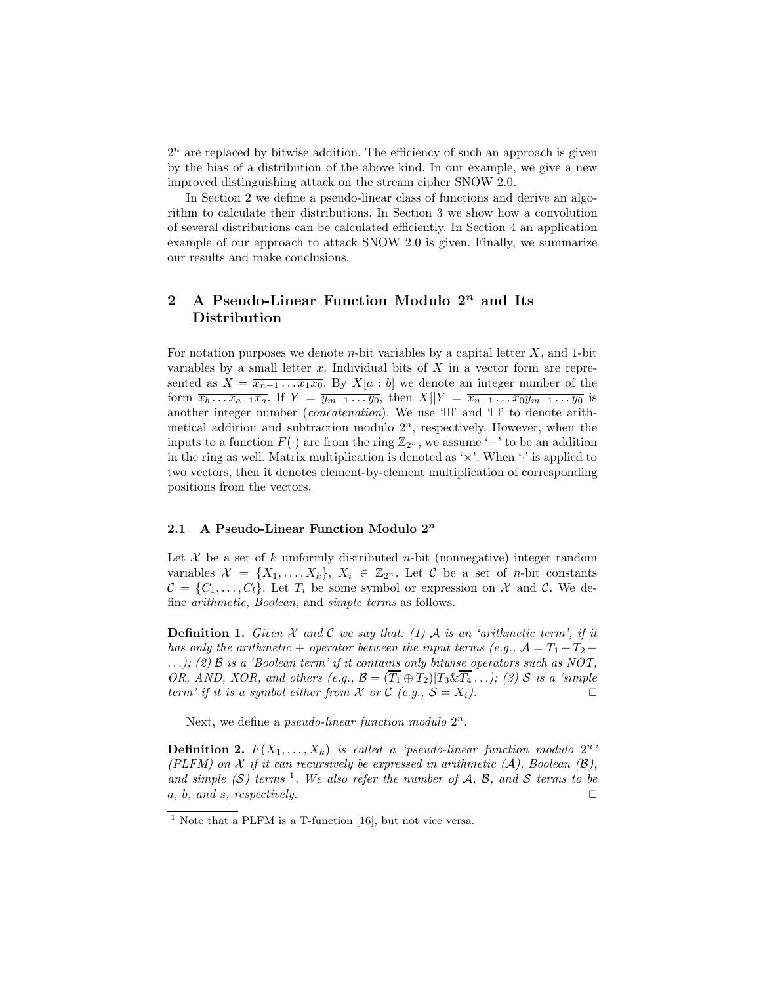$2<sup>n</sup>$  are replaced by bitwise addition. The efficiency of such an approach is given by the bias of a distribution of the above kind. In our example, we give a new improved distinguishing attack on the stream cipher SNOW 2.0.

In Section 2 we define a pseudo-linear class of functions and derive an algorithm to calculate their distributions. In Section 3 we show how a convolution of several distributions can be calculated efficiently. In Section 4 an application example of our approach to attack SNOW 2.0 is given. Finally, we summarize our results and make conclusions.

## **2 A Pseudo-Linear Function Modulo 2***<sup>n</sup>* **and Its Distribution**

For notation purposes we denote  $n$ -bit variables by a capital letter  $X$ , and 1-bit variables by a small letter  $x$ . Individual bits of  $X$  in a vector form are represented as  $X = \overline{x_{n-1} \dots x_1 x_0}$ . By  $X[a : b]$  we denote an integer number of the form  $\overline{x_b \dots x_{a+1} x_a}$ . If  $Y = \overline{y_{m-1} \dots y_0}$ , then  $X||Y = \overline{x_{n-1} \dots x_0 y_{m-1} \dots y_0}$  is another integer number *(concatenation)*. We use  $\oplus$  and  $\oplus$  to denote arithmetical addition and subtraction modulo  $2<sup>n</sup>$ , respectively. However, when the inputs to a function  $F(\cdot)$  are from the ring  $\mathbb{Z}_{2^n}$ , we assume '+' to be an addition in the ring as well. Matrix multiplication is denoted as ' $\times$ '. When ' $\cdot$ ' is applied to two vectors, then it denotes element-by-element multiplication of corresponding positions from the vectors.

### **2.1 A Pseudo-Linear Function Modulo 2***<sup>n</sup>*

Let X be a set of k uniformly distributed n-bit (nonnegative) integer random variables  $\mathcal{X} = \{X_1, \ldots, X_k\}, X_i \in \mathbb{Z}_{2^n}$ . Let C be a set of *n*-bit constants  $\mathcal{C} = \{C_1, \ldots, C_l\}$ . Let  $T_i$  be some symbol or expression on X and C. We define *arithmetic*, *Boolean*, and *simple terms* as follows.

**Definition 1.** *Given*  $\mathcal X$  *and*  $\mathcal C$  *we say that: (1)*  $\mathcal A$  *is an 'arithmetic term', if it has only the arithmetic* + *operator between the input terms (e.g.,*  $\mathcal{A} = T_1 + T_2 + T_3$ ...*); (2)* B *is a 'Boolean term' if it contains only bitwise operators such as NOT, OR, AND, XOR, and others*  $(e.g., \mathcal{B} = (\overline{T_1} \oplus T_2) | T_3 \& \overline{T_4} ...$ *; (3) S is a 'simple term' if it is a symbol either from*  $X$  *or*  $C$  *(e.g.,*  $S = X_i$ *).* 

Next, we define a *pseudo-linear function modulo*  $2^n$ .

**Definition 2.**  $F(X_1, \ldots, X_k)$  *is called a 'pseudo-linear function modulo*  $2^n$ ' *(PLFM) on*  $X$  *if it can recursively be expressed in arithmetic (A), Boolean (B),* and simple  $(S)$  terms <sup>1</sup>. We also refer the number of A, B, and S terms to be a*,* b*, and* s*, respectively.*

 $1$  Note that a PLFM is a T-function [16], but not vice versa.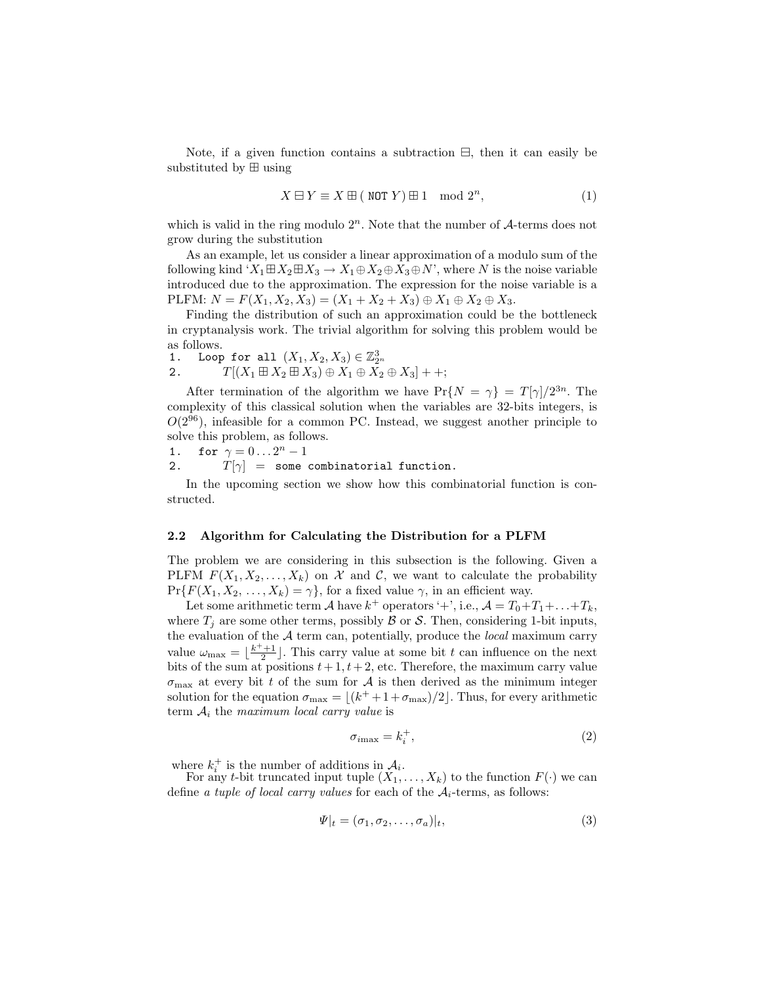Note, if a given function contains a subtraction  $\Xi$ , then it can easily be substituted by  $\boxplus$  using

$$
X \boxminus Y \equiv X \boxplus (\text{ NOT } Y) \boxplus 1 \mod 2^n,
$$
 (1)

which is valid in the ring modulo  $2^n$ . Note that the number of  $\mathcal{A}$ -terms does not grow during the substitution

As an example, let us consider a linear approximation of a modulo sum of the following kind ' $X_1 \boxplus X_2 \boxplus X_3 \to X_1 \oplus X_2 \oplus X_3 \oplus N'$ ', where N is the noise variable introduced due to the approximation. The expression for the noise variable is a PLFM:  $N = F(X_1, X_2, X_3) = (X_1 + X_2 + X_3) \oplus X_1 \oplus X_2 \oplus X_3.$ 

Finding the distribution of such an approximation could be the bottleneck in cryptanalysis work. The trivial algorithm for solving this problem would be as follows.

- 
- $\begin{array}{ll} \text{1.} & \text{Loop for all}\,\,\, (X_1,X_2,X_3)\in \mathbb Z_{2^n}^3,\ 2. & \text{I}^{\text{I}}[(X_1\boxplus X_2\boxplus X_3)\oplus X_1\oplus X_2\oplus X_3] + +; \end{array}$

After termination of the algorithm we have  $Pr{N = \gamma} = T[\gamma]/2^{3n}$ . The complexity of this classical solution when the variables are 32-bits integers, is  $O(2^{96})$ , infeasible for a common PC. Instead, we suggest another principle to solve this problem, as follows.

1. for 
$$
\gamma = 0 \ldots 2^n - 1
$$

2.  $T[\gamma] =$  some combinatorial function.

In the upcoming section we show how this combinatorial function is constructed.

#### **2.2 Algorithm for Calculating the Distribution for a PLFM**

The problem we are considering in this subsection is the following. Given a PLFM  $F(X_1, X_2, \ldots, X_k)$  on X and C, we want to calculate the probability  $Pr{F(X_1, X_2, ..., X_k) = \gamma}$ , for a fixed value  $\gamma$ , in an efficient way.

Let some arithmetic term A have  $k^+$  operators '+', i.e.,  $\mathcal{A} = T_0 + T_1 + \ldots + T_k$ , where  $T_i$  are some other terms, possibly  $\beta$  or  $\beta$ . Then, considering 1-bit inputs, the evaluation of the A term can, potentially, produce the *local* maximum carry value  $\omega_{\text{max}} = \lfloor \frac{k^+ + 1}{2} \rfloor$ . This carry value at some bit t can influence on the next bits of the sum at positions  $t + 1$ ,  $t + 2$ , etc. Therefore, the maximum carry value  $\sigma_{\text{max}}$  at every bit t of the sum for A is then derived as the minimum integer solution for the equation  $\sigma_{\text{max}} = \lfloor (k^+ + 1 + \sigma_{\text{max}})/2 \rfloor$ . Thus, for every arithmetic term  $A_i$  the *maximum local carry value* is

$$
\sigma_{i\text{max}} = k_i^+, \tag{2}
$$

where  $k_i^+$  is the number of additions in  $A_i$ .<br>For any t-bit truncated input tuple  $(X_1, \ldots, X_k)$  to the function  $F(\cdot)$  we can define *a tuple of local carry values* for each of the  $A_i$ -terms, as follows:

$$
\Psi|_{t} = (\sigma_1, \sigma_2, \dots, \sigma_a)|_{t},\tag{3}
$$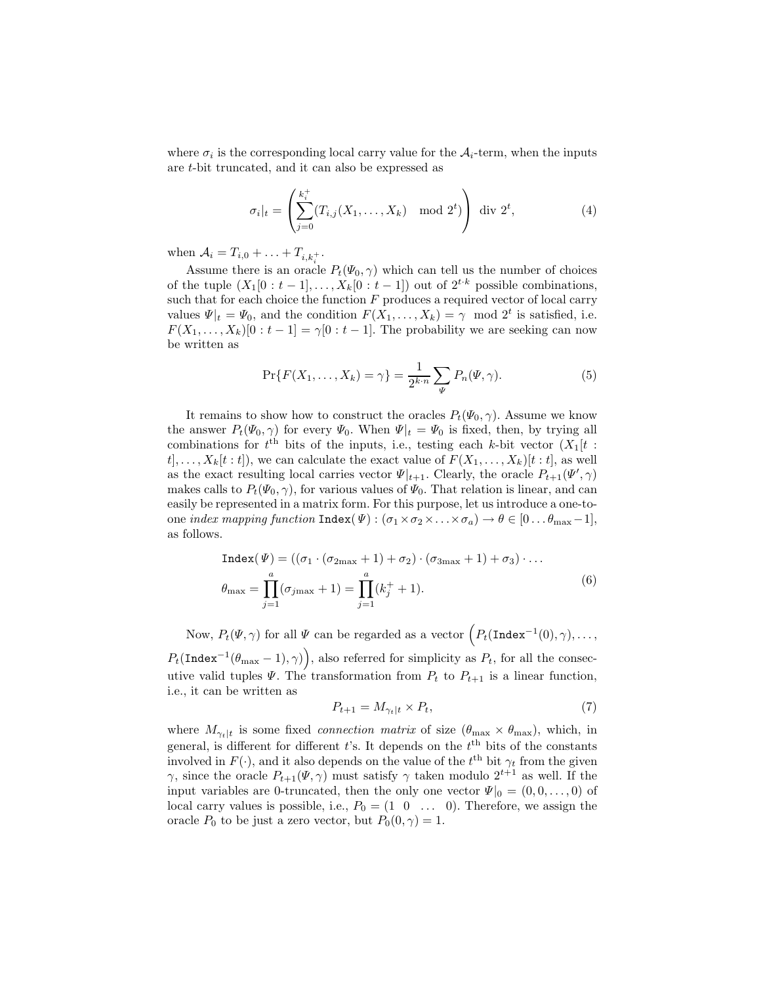where  $\sigma_i$  is the corresponding local carry value for the  $A_i$ -term, when the inputs are t-bit truncated, and it can also be expressed as

$$
\sigma_i|_t = \left(\sum_{j=0}^{k_i^+} (T_{i,j}(X_1,\ldots,X_k) \mod 2^t)\right) \text{ div } 2^t,
$$
 (4)

when  $A_i = T_{i,0} + ... + T_{i,k}$ .

Assume there is an oracle  $P_t(\Psi_0, \gamma)$  which can tell us the number of choices of the tuple  $(X_1[0:t-1],...,X_k[0:t-1])$  out of  $2^{t\cdot k}$  possible combinations, such that for each choice the function  $F$  produces a required vector of local carry values  $\Psi|_t = \Psi_0$ , and the condition  $F(X_1, \ldots, X_k) = \gamma \mod 2^t$  is satisfied, i.e.  $F(X_1,\ldots,X_k)[0:t-1]=\gamma[0:t-1]$ . The probability we are seeking can now be written as

$$
\Pr\{F(X_1, ..., X_k) = \gamma\} = \frac{1}{2^{k \cdot n}} \sum_{\Psi} P_n(\Psi, \gamma).
$$
 (5)

It remains to show how to construct the oracles  $P_t(\Psi_0, \gamma)$ . Assume we know the answer  $P_t(\Psi_0, \gamma)$  for every  $\Psi_0$ . When  $\Psi|_t = \Psi_0$  is fixed, then, by trying all combinations for  $t^{\text{th}}$  bits of the inputs, i.e., testing each k-bit vector  $(X_1[t :$  $t, \ldots, X_k[t : t]$ , we can calculate the exact value of  $F(X_1, \ldots, X_k)[t : t]$ , as well as the exact resulting local carries vector  $\Psi|_{t+1}$ . Clearly, the oracle  $P_{t+1}(\Psi', \gamma)$ makes calls to  $P_t(\Psi_0, \gamma)$ , for various values of  $\Psi_0$ . That relation is linear, and can easily be represented in a matrix form. For this purpose, let us introduce a one-toone *index mapping function*  $\text{Index}(\Psi) : (\sigma_1 \times \sigma_2 \times ... \times \sigma_a) \to \theta \in [0 ... \theta_{\text{max}}-1],$ as follows.

$$
\begin{aligned} \text{Index}(\Psi) &= \left( (\sigma_1 \cdot (\sigma_{2\text{max}} + 1) + \sigma_2) \cdot (\sigma_{3\text{max}} + 1) + \sigma_3 \right) \cdot \dots \\ \theta_{\text{max}} &= \prod_{j=1}^a (\sigma_{j\text{max}} + 1) = \prod_{j=1}^a (k_j^+ + 1). \end{aligned} \tag{6}
$$

Now,  $P_t(\Psi, \gamma)$  for all  $\Psi$  can be regarded as a vector  $\left(P_t(\texttt{Index}^{-1}(0), \gamma), \ldots, \gamma\right)$  $P_t(\texttt{Index}^{-1}(\theta_{\text{max}}-1), \gamma)$ , also referred for simplicity as  $P_t$ , for all the consecutive valid tuples  $\Psi$ . The transformation from  $P_t$  to  $P_{t+1}$  is a linear function, i.e., it can be written as

$$
P_{t+1} = M_{\gamma_t|t} \times P_t,\tag{7}
$$

where  $M_{\gamma_t|t}$  is some fixed *connection matrix* of size  $(\theta_{\text{max}} \times \theta_{\text{max}})$ , which, in general, is different for different t's. It depends on the  $t<sup>th</sup>$  bits of the constants involved in  $F(\cdot)$ , and it also depends on the value of the  $t<sup>th</sup>$  bit  $\gamma_t$  from the given γ, since the oracle  $P_{t+1}(\Psi, \gamma)$  must satisfy  $\gamma$  taken modulo  $2^{t+1}$  as well. If the input variables are 0-truncated, then the only one vector  $\Psi|_0 = (0, 0, \ldots, 0)$  of local carry values is possible, i.e.,  $P_0 = (1 \ 0 \ \ldots \ 0)$ . Therefore, we assign the oracle  $P_0$  to be just a zero vector, but  $P_0(0, \gamma) = 1$ .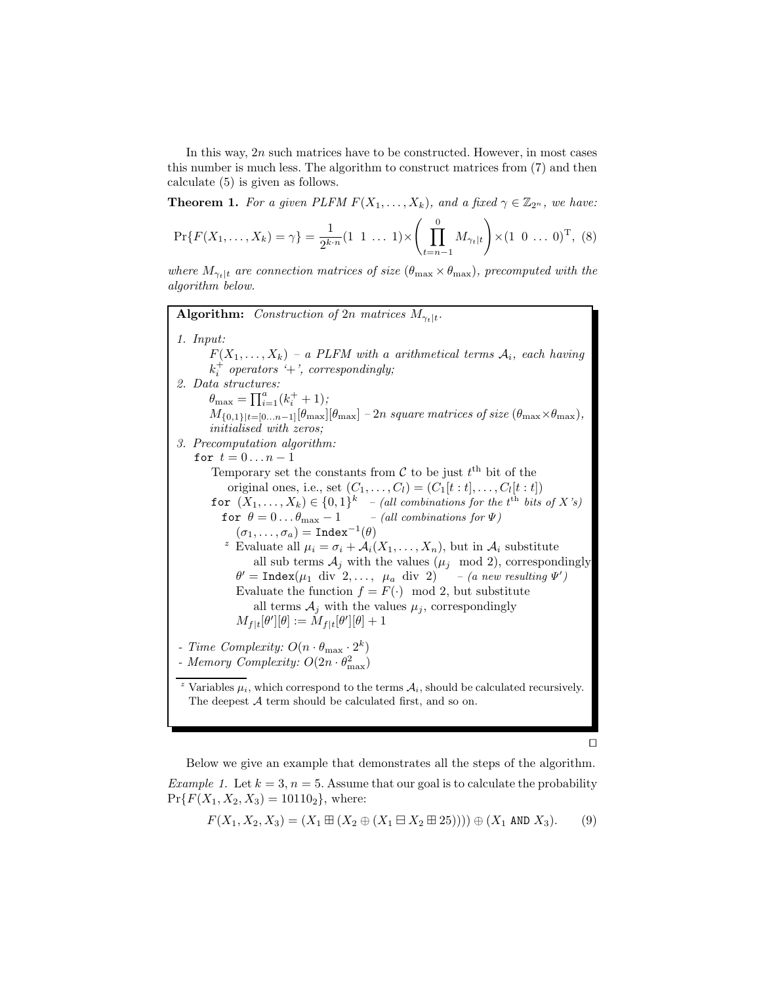In this way,  $2n$  such matrices have to be constructed. However, in most cases this number is much less. The algorithm to construct matrices from (7) and then calculate (5) is given as follows.

**Theorem 1.** *For a given PLFM*  $F(X_1, \ldots, X_k)$ *, and a fixed*  $\gamma \in \mathbb{Z}_{2^n}$ *, we have:* 

$$
\Pr\{F(X_1,\ldots,X_k)=\gamma\}=\frac{1}{2^{k\cdot n}}(1\ 1\ \ldots\ 1)\times\left(\prod_{t=n-1}^0 M_{\gamma_t|t}\right)\times(1\ 0\ \ldots\ 0)^{\mathrm{T}},\ (8)
$$

*where*  $M_{\gamma_t|t}$  *are connection matrices of size*  $(\theta_{\text{max}} \times \theta_{\text{max}})$ *, precomputed with the algorithm below.*

**Algorithm:** *Construction of* 2n *matrices*  $M_{\gamma_t|t}$ *. 1. Input:*  $F(X_1, \ldots, X_k)$  – a PLFM with a arithmetical terms  $A_i$ , each having  $k_i^+$  *operators*  $i^+$ *; correspondingly; 2. Data structures:*  $\theta_{\text{max}} = \prod_{i=1}^{a} (k_i^+ + 1);$  $M_{\{0,1\}\left|t=[0...n-1]\right|}[\theta_{\max}]-2n \; square \; matrices \; of \; size \; (\theta_{\max}\times\theta_{\max}),$ *initialised with zeros; 3. Precomputation algorithm:* for  $t = 0 \ldots n-1$ Temporary set the constants from  $\mathcal C$  to be just  $t^{\text{th}}$  bit of the original ones, i.e., set  $(C_1, ..., C_l) = (C_1[t : t], ..., C_l[t : t])$ for  $(X_1, \ldots, X_k) \in \{0,1\}^k$  *– (all combinations for the t*<sup>th</sup> *bits of* X's) for  $\theta = 0 \ldots \theta_{\text{max}} - 1$  *– (all combinations for*  $\Psi$ )  $(\sigma_1,\ldots,\sigma_a) = \mathtt{Index}^{-1}(\theta)$ <sup>z</sup> Evaluate all  $\mu_i = \sigma_i + \mathcal{A}_i(X_1, \ldots, X_n)$ , but in  $\mathcal{A}_i$  substitute all sub terms  $A_j$  with the values  $(\mu_j \mod 2)$ , correspondingly  $\theta' = \text{Index}(\mu_1 \text{ div } 2, ..., \mu_a \text{ div } 2)$  *– (a new resulting*  $\Psi'$ ) Evaluate the function  $f = F(\cdot) \mod 2$ , but substitute all terms  $A_j$  with the values  $\mu_j$ , correspondingly  $M_{f|t}[\theta'][\theta] := M_{f|t}[\theta'][\theta] + 1$ *- Time Complexity:*  $O(n \cdot \theta_{\text{max}} \cdot 2^k)$ *- Memory Complexity:*  $O(2n \cdot \theta_{\text{max}}^2)$ Variables  $\mu_i$ , which correspond to the terms  $\mathcal{A}_i$ , should be calculated recursively. The deepest  $A$  term should be calculated first, and so on.

 $\Box$ 

Below we give an example that demonstrates all the steps of the algorithm. *Example 1.* Let  $k = 3$ ,  $n = 5$ . Assume that our goal is to calculate the probability  $Pr{F(X_1, X_2, X_3) = 10110_2}$ , where:

$$
F(X_1, X_2, X_3) = (X_1 \boxplus (X_2 \oplus (X_1 \boxplus X_2 \boxplus 25)))) \oplus (X_1 \text{ AND } X_3).
$$
 (9)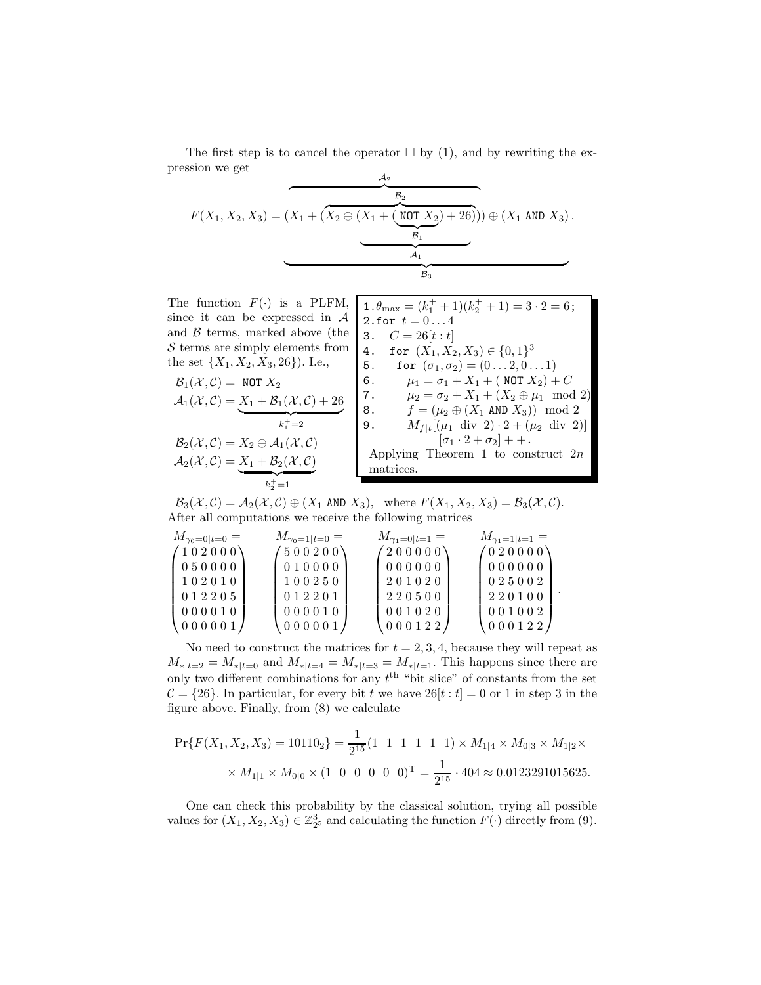The first step is to cancel the operator  $\boxminus$  by (1), and by rewriting the expression we get

$$
F(X_1, X_2, X_3) = (X_1 + (X_2 \oplus (X_1 + (NOT X_2) + 26))) \oplus (X_1 AND X_3).
$$

The function  $F(\cdot)$  is a PLFM. since it can be and  $\beta$  terms, ma  $S$  terms are simply the set  $\{X_1, X_2, X_4\}$ 

The function 
$$
F(\cdot)
$$
 is a PLFM,  
\nsince it can be expressed in  $A$  and  $B$  terms, marked above (the  
\n $S$  terms are simply elements from  
\nthe set  $\{X_1, X_2, X_3, 26\}$ ). I.e.,  
\n $A_1(X, C) = \text{NOT } X_2$   
\n $A_2(X, C) = X_2 \oplus A_1(X, C)$   
\n $A_2(X, C) = \frac{X_1 + B_2(X, C)}{B_2(X, C)}$   
\n $A_1(X, C) = \frac{X_1 + B_2(X, C)}{B_1(X, C)}$   
\n $A_2(X, C) = \frac{X_1 + B_2(X, C)}{B_2(X, C)}$   
\n $A_1(X, C) = \frac{X_2 + B_2(X, C)}{B_1(X, C)}$   
\n $A_2(X, C) = \frac{X_1 + B_2(X, C)}{B_2(X, C)}$   
\n $A_1(X, C) = \frac{X_1 + B_2(X, C)}{B_1(X, C)}$   
\n $A_2(X, C) = \frac{X_1 + B_2(X, C)}{B_1(X, C)}$   
\n $A_1(X, C) = \frac{X_1 + B_2(X, C)}{B_1(X, C)}$   
\n $A_1(X, C) = \frac{X_1 + B_2(X, C)}{B_1(X, C)}$   
\n $A_1(X, C) = \frac{X_1 + B_2(X, C)}{B_1(X, C)}$   
\n $A_1(X, C) = \frac{X_1 + B_2(X, C)}{B_1(X, C)}$   
\n $A_1(X, C) = \frac{X_1 + B_2(X, C)}{B_1(X, C)}$   
\n $A_1(X, C) = \frac{X_1 + B_2(X, C)}{B_1(X, C)}$   
\n $A_1(X, C) = \frac{X_1 + B_2(X, C)}{B_1(X, C)}$   
\n $A_1(X, C) = \frac{X_1 + B_2(X, C)}{B_1(X, C)}$   
\n $A_1(X, C) = \frac{X_1 + B_2(X, C)}{B_1(X, C)}$   
\n $A_1(X, C) = \frac{X_1 + B_2(X, C)}{B_1(X$ 

.

 $\mathcal{B}_3(\mathcal{X}, \mathcal{C}) = \mathcal{A}_2(\mathcal{X}, \mathcal{C}) \oplus (X_1 \text{ AND } X_3), \text{ where } F(X_1, X_2, X_3) = \mathcal{B}_3(\mathcal{X}, \mathcal{C}).$ After all computations we receive the following matrices

| $M_{\gamma_0=0 t=0} =$ | $M_{\gamma_0=1 t=0} =$ | $M_{\gamma_1=0 t=1} =$ | $M_{\gamma_1=1 t=1} =$ |
|------------------------|------------------------|------------------------|------------------------|
| (102000)               | (500200)               | (200000)               | (020000)               |
| 050000                 | 010000                 | 000000                 | 000000                 |
| 102010                 | 100250                 | 201020                 | 025002                 |
| 012205                 | 012201                 | 220500                 | 220100                 |
| 000010                 | 000010                 | 001020                 | 001002                 |
| 000001                 | 000001                 | 000122                 | 000122                 |

No need to construct the matrices for  $t = 2, 3, 4$ , because they will repeat as  $M_{\ast |t=2} = M_{\ast |t=0}$  and  $M_{\ast |t=4} = M_{\ast |t=3} = M_{\ast |t=1}$ . This happens since there are only two different combinations for any  $t<sup>th</sup>$  "bit slice" of constants from the set  $C = \{26\}$ . In particular, for every bit t we have  $26[t : t] = 0$  or 1 in step 3 in the figure above. Finally, from (8) we calculate

$$
\Pr\{F(X_1, X_2, X_3) = 10110_2\} = \frac{1}{2^{15}} (1 \quad 1 \quad 1 \quad 1 \quad 1 \quad 1) \times M_{1|4} \times M_{0|3} \times M_{1|2} \times
$$

$$
\times M_{1|1} \times M_{0|0} \times (1 \quad 0 \quad 0 \quad 0 \quad 0 \quad 0)^{\mathrm{T}} = \frac{1}{2^{15}} \cdot 404 \approx 0.0123291015625.
$$

One can check this probability by the classical solution, trying all possible values for  $(X_1, X_2, X_3) \in \mathbb{Z}_{2^5}^3$  and calculating the function  $F(\cdot)$  directly from (9).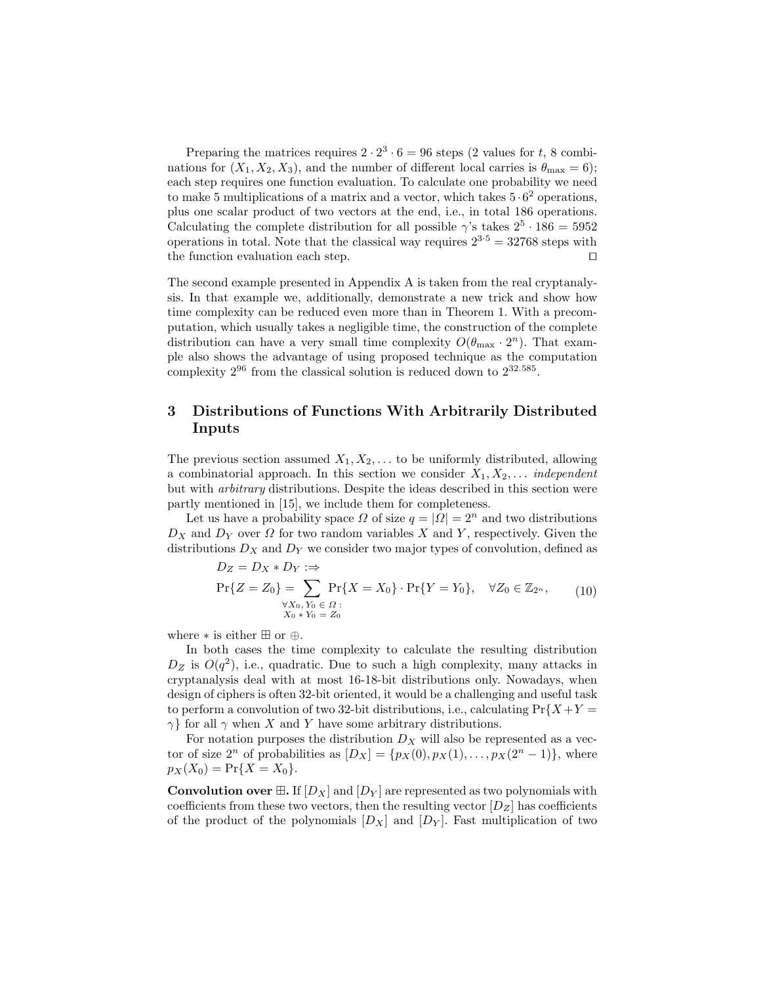Preparing the matrices requires  $2 \cdot 2^3 \cdot 6 = 96$  steps (2 values for t, 8 combinations for  $(X_1, X_2, X_3)$ , and the number of different local carries is  $\theta_{\text{max}} = 6$ ); each step requires one function evaluation. To calculate one probability we need to make 5 multiplications of a matrix and a vector, which takes  $5 \cdot 6^2$  operations, plus one scalar product of two vectors at the end, i.e., in total 186 operations. Calculating the complete distribution for all possible  $\gamma$ 's takes  $2^5 \cdot 186 = 5952$ operations in total. Note that the classical way requires  $2^{3.5} = 32768$  steps with the function evaluation each step.  $\square$ 

The second example presented in Appendix A is taken from the real cryptanalysis. In that example we, additionally, demonstrate a new trick and show how time complexity can be reduced even more than in Theorem 1. With a precomputation, which usually takes a negligible time, the construction of the complete distribution can have a very small time complexity  $O(\theta_{\text{max}} \cdot 2^n)$ . That example also shows the advantage of using proposed technique as the computation complexity  $2^{96}$  from the classical solution is reduced down to  $2^{32.585}$ .

## **3 Distributions of Functions With Arbitrarily Distributed Inputs**

The previous section assumed  $X_1, X_2, \ldots$  to be uniformly distributed, allowing a combinatorial approach. In this section we consider  $X_1, X_2, \ldots$  *independent* but with *arbitrary* distributions. Despite the ideas described in this section were partly mentioned in [15], we include them for completeness.

Let us have a probability space  $\Omega$  of size  $q = |\Omega| = 2^n$  and two distributions  $D_X$  and  $D_Y$  over  $\Omega$  for two random variables X and Y, respectively. Given the distributions  $D_X$  and  $D_Y$  we consider two major types of convolution, defined as

$$
D_Z = D_X * D_Y : \Rightarrow
$$
  
\n
$$
\Pr\{Z = Z_0\} = \sum_{\substack{\forall X_0, Y_0 \in \Omega : \\ X_0 * Y_0 = Z_0}} \Pr\{X = X_0\} \cdot \Pr\{Y = Y_0\}, \quad \forall Z_0 \in \mathbb{Z}_{2^n},
$$
\n(10)

where  $*$  is either  $\boxplus$  or  $\oplus$ .

In both cases the time complexity to calculate the resulting distribution  $D<sub>Z</sub>$  is  $O(q<sup>2</sup>)$ , i.e., quadratic. Due to such a high complexity, many attacks in cryptanalysis deal with at most 16-18-bit distributions only. Nowadays, when design of ciphers is often 32-bit oriented, it would be a challenging and useful task to perform a convolution of two 32-bit distributions, i.e., calculating  $Pr{X+Y}$  =  $\gamma$ } for all  $\gamma$  when X and Y have some arbitrary distributions.

For notation purposes the distribution  $D_X$  will also be represented as a vector of size  $2^n$  of probabilities as  $[D_X] = \{p_X(0), p_X(1), \ldots, p_X(2^n-1)\}\$ , where  $p_X(X_0) = \Pr\{X = X_0\}.$ 

**Convolution over**  $\mathbb{E}$ . If  $[D_X]$  and  $[D_Y]$  are represented as two polynomials with coefficients from these two vectors, then the resulting vector  $[D_Z]$  has coefficients of the product of the polynomials  $[D_X]$  and  $[D_Y]$ . Fast multiplication of two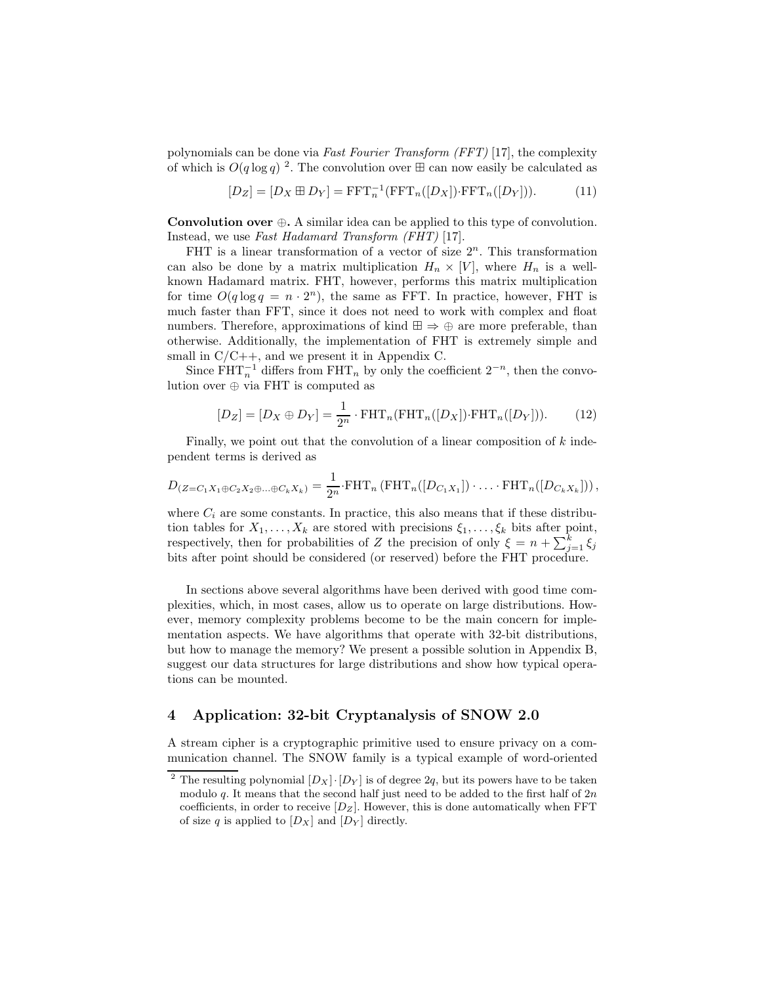polynomials can be done via *Fast Fourier Transform (FFT)* [17], the complexity of which is  $O(q \log q)^2$ . The convolution over  $\boxplus$  can now easily be calculated as

$$
[D_Z] = [D_X \boxplus D_Y] = \text{FFT}_n^{-1}(\text{FFT}_n([D_X]) \cdot \text{FFT}_n([D_Y])). \tag{11}
$$

**Convolution over** ⊕**.** A similar idea can be applied to this type of convolution. Instead, we use *Fast Hadamard Transform (FHT)* [17].

FHT is a linear transformation of a vector of size  $2<sup>n</sup>$ . This transformation can also be done by a matrix multiplication  $H_n \times [V]$ , where  $H_n$  is a wellknown Hadamard matrix. FHT, however, performs this matrix multiplication for time  $O(q \log q = n \cdot 2^n)$ , the same as FFT. In practice, however, FHT is much faster than FFT, since it does not need to work with complex and float numbers. Therefore, approximations of kind  $\boxplus \Rightarrow \oplus$  are more preferable, than otherwise. Additionally, the implementation of FHT is extremely simple and small in  $C/C++$ , and we present it in Appendix C.

Since  $\text{FHT}_n^{-1}$  differs from  $\text{FHT}_n$  by only the coefficient  $2^{-n}$ , then the convolution over ⊕ via FHT is computed as

$$
[D_Z] = [D_X \oplus D_Y] = \frac{1}{2^n} \cdot \text{FHT}_n(\text{FHT}_n([D_X]) \cdot \text{FHT}_n([D_Y])). \tag{12}
$$

Finally, we point out that the convolution of a linear composition of k independent terms is derived as

$$
D_{(Z=C_1X_1\oplus C_2X_2\oplus\ldots\oplus C_kX_k)}=\frac{1}{2^n}\cdot\operatorname{FHT}_n\left(\operatorname{FHT}_n([D_{C_1X_1}])\cdot\ldots\cdot\operatorname{FHT}_n([D_{C_kX_k}])\right),
$$

where  $C_i$  are some constants. In practice, this also means that if these distribution tables for  $X_1, \ldots, X_k$  are stored with precisions  $\xi_1, \ldots, \xi_k$  bits after point, respectively, then for probabilities of Z the precision of only  $\xi = n + \sum_{i=1}^{k} \xi_i$ bits after point should be considered (or reserved) before the FHT procedure.

In sections above several algorithms have been derived with good time complexities, which, in most cases, allow us to operate on large distributions. However, memory complexity problems become to be the main concern for implementation aspects. We have algorithms that operate with 32-bit distributions, but how to manage the memory? We present a possible solution in Appendix B, suggest our data structures for large distributions and show how typical operations can be mounted.

## **4 Application: 32-bit Cryptanalysis of SNOW 2.0**

A stream cipher is a cryptographic primitive used to ensure privacy on a communication channel. The SNOW family is a typical example of word-oriented

<sup>&</sup>lt;sup>2</sup> The resulting polynomial  $[D_X] \cdot [D_Y]$  is of degree 2q, but its powers have to be taken modulo  $q$ . It means that the second half just need to be added to the first half of  $2n$ coefficients, in order to receive  $[D_Z]$ . However, this is done automatically when FFT of size  $q$  is applied to  $[D_X]$  and  $[D_Y]$  directly.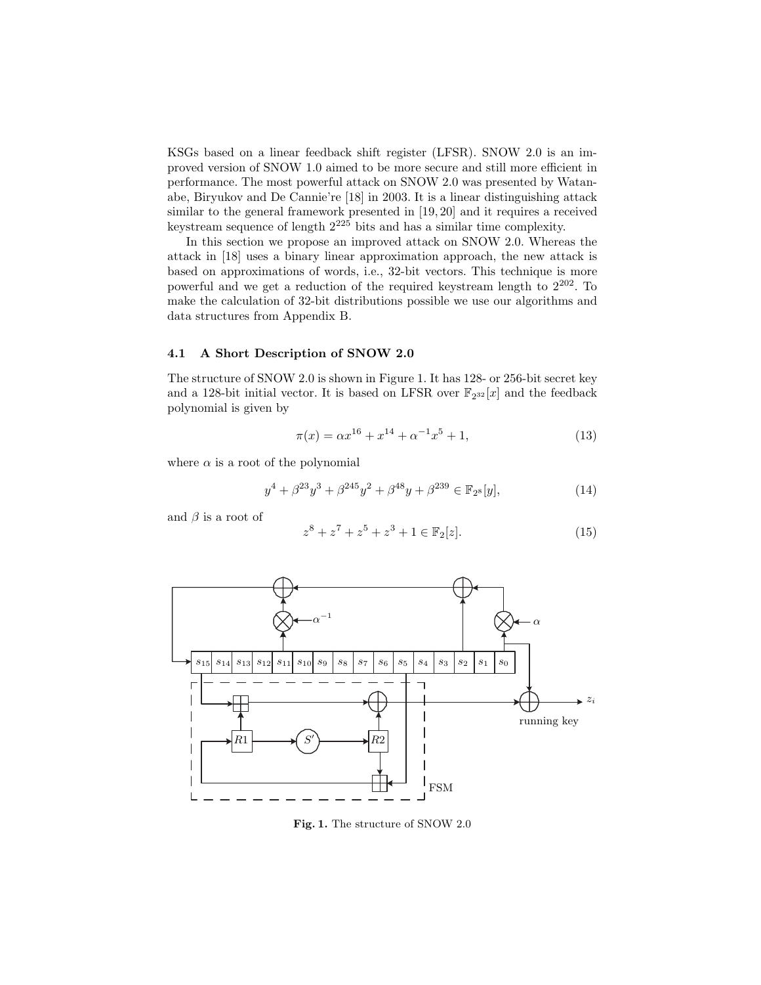KSGs based on a linear feedback shift register (LFSR). SNOW 2.0 is an improved version of SNOW 1.0 aimed to be more secure and still more efficient in performance. The most powerful attack on SNOW 2.0 was presented by Watanabe, Biryukov and De Cannie're [18] in 2003. It is a linear distinguishing attack similar to the general framework presented in [19, 20] and it requires a received keystream sequence of length  $2^{225}$  bits and has a similar time complexity.

In this section we propose an improved attack on SNOW 2.0. Whereas the attack in [18] uses a binary linear approximation approach, the new attack is based on approximations of words, i.e., 32-bit vectors. This technique is more powerful and we get a reduction of the required keystream length to 2202. To make the calculation of 32-bit distributions possible we use our algorithms and data structures from Appendix B.

#### **4.1 A Short Description of SNOW 2.0**

The structure of SNOW 2.0 is shown in Figure 1. It has 128- or 256-bit secret key and a 128-bit initial vector. It is based on LFSR over  $\mathbb{F}_{2^{32}}[x]$  and the feedback polynomial is given by

$$
\pi(x) = \alpha x^{16} + x^{14} + \alpha^{-1} x^5 + 1,\tag{13}
$$

where  $\alpha$  is a root of the polynomial

$$
y^{4} + \beta^{23}y^{3} + \beta^{245}y^{2} + \beta^{48}y + \beta^{239} \in \mathbb{F}_{2^{8}}[y],
$$
\n(14)

and  $\beta$  is a root of

$$
z^{8} + z^{7} + z^{5} + z^{3} + 1 \in \mathbb{F}_{2}[z].
$$
\n(15)



**Fig. 1.** The structure of SNOW 2.0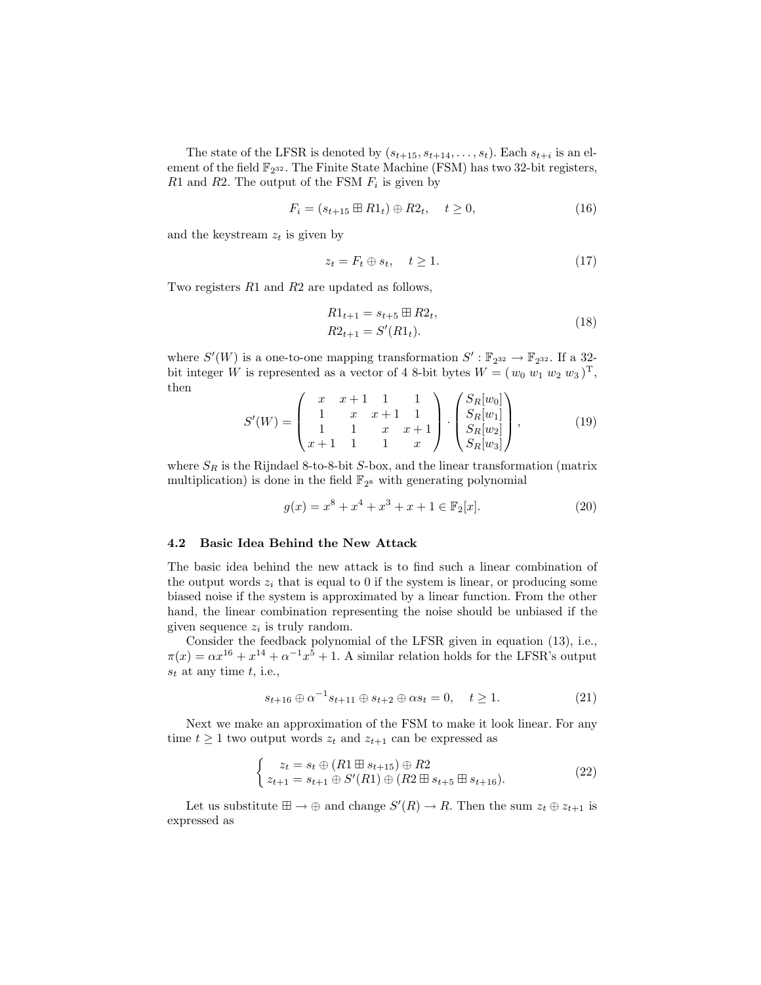The state of the LFSR is denoted by  $(s_{t+15}, s_{t+14}, \ldots, s_t)$ . Each  $s_{t+i}$  is an element of the field  $\mathbb{F}_{2^{32}}$ . The Finite State Machine (FSM) has two 32-bit registers,  $R1$  and  $R2$ . The output of the FSM  $F_i$  is given by

$$
F_i = (s_{t+15} \boxplus R1_t) \oplus R2_t, \quad t \ge 0,
$$
\n
$$
(16)
$$

and the keystream  $z_t$  is given by

$$
z_t = F_t \oplus s_t, \quad t \ge 1. \tag{17}
$$

Two registers R1 and R2 are updated as follows,

$$
R1_{t+1} = s_{t+5} \boxplus R2_t,
$$
  
\n
$$
R2_{t+1} = S'(R1_t).
$$
\n(18)

where  $S'(W)$  is a one-to-one mapping transformation  $S' : \mathbb{F}_{2^{32}} \to \mathbb{F}_{2^{32}}$ . If a 32bit integer W is represented as a vector of 4 8-bit bytes  $W = (w_0 w_1 w_2 w_3)^T$ , then

$$
S'(W) = \begin{pmatrix} x & x+1 & 1 & 1 \\ 1 & x & x+1 & 1 \\ 1 & 1 & x & x+1 \\ x+1 & 1 & 1 & x \end{pmatrix} \cdot \begin{pmatrix} S_R[w_0] \\ S_R[w_1] \\ S_R[w_2] \\ S_R[w_3] \end{pmatrix},
$$
(19)

where  $S_R$  is the Rijndael 8-to-8-bit S-box, and the linear transformation (matrix multiplication) is done in the field  $\mathbb{F}_{2^8}$  with generating polynomial

$$
g(x) = x^8 + x^4 + x^3 + x + 1 \in \mathbb{F}_2[x].
$$
\n(20)

#### **4.2 Basic Idea Behind the New Attack**

The basic idea behind the new attack is to find such a linear combination of the output words  $z_i$  that is equal to 0 if the system is linear, or producing some biased noise if the system is approximated by a linear function. From the other hand, the linear combination representing the noise should be unbiased if the given sequence  $z_i$  is truly random.

Consider the feedback polynomial of the LFSR given in equation (13), i.e.,  $\pi(x) = \alpha x^{16} + x^{14} + \alpha^{-1} x^5 + 1$ . A similar relation holds for the LFSR's output  $s_t$  at any time  $t$ , i.e.,

$$
s_{t+16} \oplus \alpha^{-1} s_{t+11} \oplus s_{t+2} \oplus \alpha s_t = 0, \quad t \ge 1.
$$
 (21)

Next we make an approximation of the FSM to make it look linear. For any time  $t \geq 1$  two output words  $z_t$  and  $z_{t+1}$  can be expressed as

$$
\begin{cases}\n z_t = s_t \oplus (R1 \boxplus s_{t+15}) \oplus R2 \\
 z_{t+1} = s_{t+1} \oplus S'(R1) \oplus (R2 \boxplus s_{t+5} \boxplus s_{t+16}).\n\end{cases}
$$
\n(22)

Let us substitute  $\boxplus \to \oplus$  and change  $S'(R) \to R$ . Then the sum  $z_t \oplus z_{t+1}$  is expressed as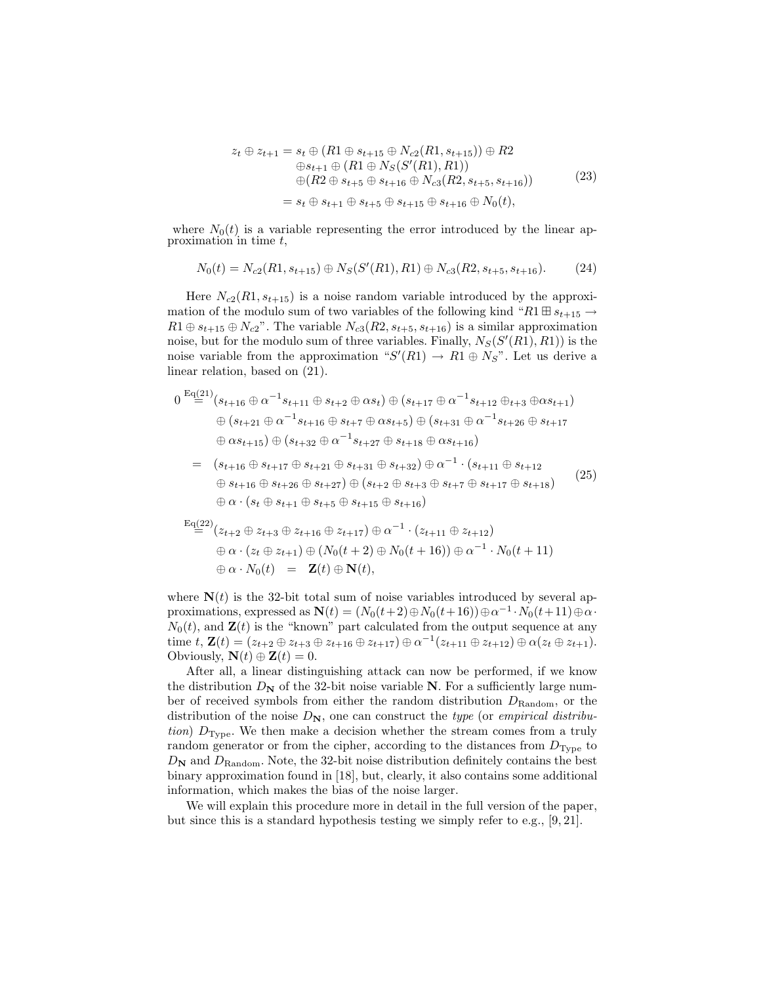$$
z_t \oplus z_{t+1} = s_t \oplus (R1 \oplus s_{t+15} \oplus N_{c2}(R1, s_{t+15})) \oplus R2
$$
  
\n
$$
\oplus s_{t+1} \oplus (R1 \oplus N_S(S'(R1), R1))
$$
  
\n
$$
\oplus (R2 \oplus s_{t+5} \oplus s_{t+16} \oplus N_{c3}(R2, s_{t+5}, s_{t+16}))
$$
  
\n
$$
= s_t \oplus s_{t+1} \oplus s_{t+5} \oplus s_{t+15} \oplus s_{t+16} \oplus N_0(t),
$$
\n(23)

where  $N_0(t)$  is a variable representing the error introduced by the linear approximation in time t,

$$
N_0(t) = N_{c2}(R1, s_{t+15}) \oplus N_S(S'(R1), R1) \oplus N_{c3}(R2, s_{t+5}, s_{t+16}).
$$
 (24)

Here  $N_{c2}(R1, s_{t+15})$  is a noise random variable introduced by the approximation of the modulo sum of two variables of the following kind " $R1 \boxplus s_{t+15} \rightarrow$  $R1 \oplus s_{t+15} \oplus N_{c2}$ ". The variable  $N_{c3}(R2, s_{t+5}, s_{t+16})$  is a similar approximation noise, but for the modulo sum of three variables. Finally,  $N_S(S'(R1), R1)$  is the noise variable from the approximation " $S'(R1) \rightarrow R1 \oplus N_S$ ". Let us derive a linear relation, based on (21).

$$
0 \stackrel{\text{Eq}(21)}{=} (s_{t+16} \oplus \alpha^{-1} s_{t+11} \oplus s_{t+2} \oplus \alpha s_t) \oplus (s_{t+17} \oplus \alpha^{-1} s_{t+12} \oplus_{t+3} \oplus \alpha s_{t+1})
$$
  

$$
\oplus (s_{t+21} \oplus \alpha^{-1} s_{t+16} \oplus s_{t+7} \oplus \alpha s_{t+5}) \oplus (s_{t+31} \oplus \alpha^{-1} s_{t+26} \oplus s_{t+17}
$$
  

$$
\oplus \alpha s_{t+15}) \oplus (s_{t+32} \oplus \alpha^{-1} s_{t+27} \oplus s_{t+18} \oplus \alpha s_{t+16})
$$

$$
= (s_{t+16} \oplus s_{t+17} \oplus s_{t+21} \oplus s_{t+31} \oplus s_{t+32}) \oplus \alpha^{-1} \cdot (s_{t+11} \oplus s_{t+12} \oplus s_{t+16} \oplus s_{t+26} \oplus s_{t+27}) \oplus (s_{t+2} \oplus s_{t+3} \oplus s_{t+7} \oplus s_{t+17} \oplus s_{t+18}) \oplus \alpha \cdot (s_t \oplus s_{t+1} \oplus s_{t+5} \oplus s_{t+15} \oplus s_{t+16})
$$
\n(25)

$$
\begin{aligned} \n\mathcal{E}_{\mathbf{q}}(22) & \underset{=}{\triangle} (z_{t+2} \oplus z_{t+3} \oplus z_{t+16} \oplus z_{t+17}) \oplus \alpha^{-1} \cdot (z_{t+11} \oplus z_{t+12}) \\
& \oplus \alpha \cdot (z_t \oplus z_{t+1}) \oplus (N_0(t+2) \oplus N_0(t+16)) \oplus \alpha^{-1} \cdot N_0(t+11) \\
& \oplus \alpha \cdot N_0(t) = \mathbf{Z}(t) \oplus \mathbf{N}(t),\n\end{aligned}
$$

where  $N(t)$  is the 32-bit total sum of noise variables introduced by several approximations, expressed as  $\mathbf{N}(t)=(N_0(t+2) \oplus N_0(t+ 16)) \oplus \alpha^{-1} \cdot N_0(t+11) \oplus \alpha$  $N_0(t)$ , and  $\mathbf{Z}(t)$  is the "known" part calculated from the output sequence at any time  $t, \mathbf{Z}(t)=(z_{t+2} \oplus z_{t+3} \oplus z_{t+16} \oplus z_{t+17}) \oplus \alpha^{-1}(z_{t+11} \oplus z_{t+12}) \oplus \alpha(z_t \oplus z_{t+1}).$ Obviously,  $\mathbf{N}(t) \oplus \mathbf{Z}(t) = 0$ .

After all, a linear distinguishing attack can now be performed, if we know the distribution  $D_N$  of the 32-bit noise variable N. For a sufficiently large number of received symbols from either the random distribution  $D_{\text{Random}}$ , or the distribution of the noise  $D_N$ , one can construct the *type* (or *empirical distribution*)  $D_{\text{Type}}$ . We then make a decision whether the stream comes from a truly random generator or from the cipher, according to the distances from  $D_{\text{Type}}$  to  $D_N$  and  $D_{\text{Random}}$ . Note, the 32-bit noise distribution definitely contains the best binary approximation found in [18], but, clearly, it also contains some additional information, which makes the bias of the noise larger.

We will explain this procedure more in detail in the full version of the paper, but since this is a standard hypothesis testing we simply refer to e.g., [9, 21].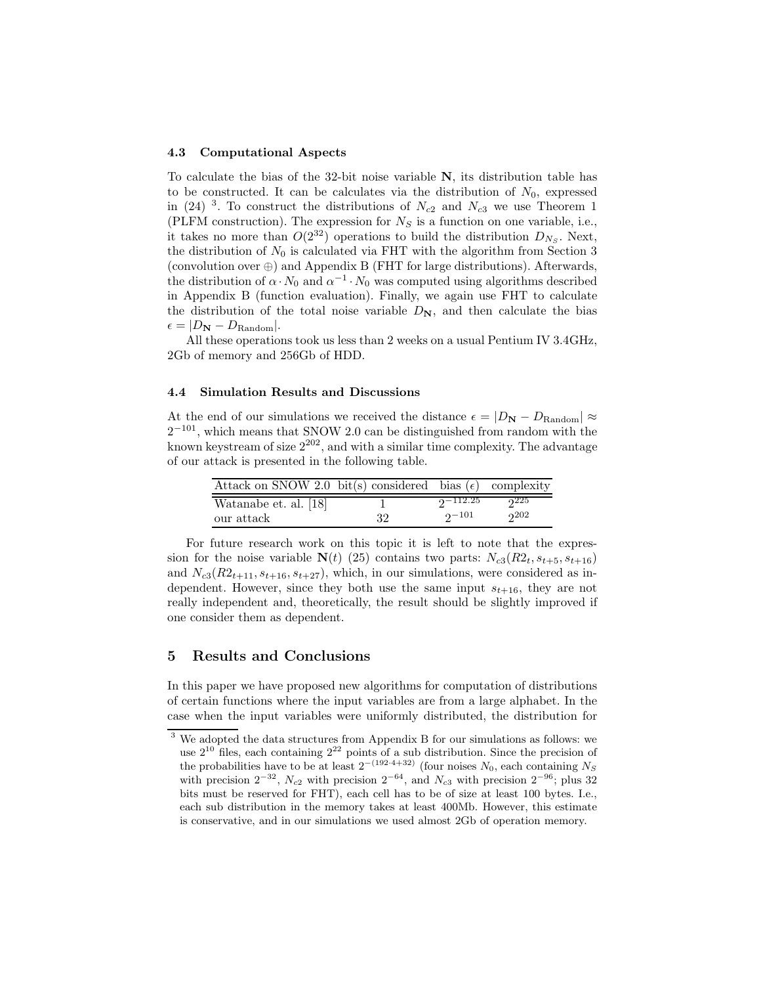#### **4.3 Computational Aspects**

To calculate the bias of the 32-bit noise variable **N**, its distribution table has to be constructed. It can be calculates via the distribution of  $N_0$ , expressed in (24) <sup>3</sup>. To construct the distributions of  $N_{c2}$  and  $N_{c3}$  we use Theorem 1 (PLFM construction). The expression for  $N<sub>S</sub>$  is a function on one variable, i.e., it takes no more than  $O(2^{32})$  operations to build the distribution  $D_{N_S}$ . Next, the distribution of  $N_0$  is calculated via FHT with the algorithm from Section 3 (convolution over ⊕) and Appendix B (FHT for large distributions). Afterwards, the distribution of  $\alpha \cdot N_0$  and  $\alpha^{-1} \cdot N_0$  was computed using algorithms described in Appendix B (function evaluation). Finally, we again use FHT to calculate the distribution of the total noise variable  $D_N$ , and then calculate the bias  $\epsilon = |D_{\mathbf{N}} - D_{\text{Random}}|$ .

All these operations took us less than 2 weeks on a usual Pentium IV 3.4GHz, 2Gb of memory and 256Gb of HDD.

#### **4.4 Simulation Results and Discussions**

At the end of our simulations we received the distance  $\epsilon = |D_{\mathbf{N}} - D_{\text{Random}}| \approx$  $2^{-101}$ , which means that SNOW 2.0 can be distinguished from random with the known keystream of size  $2^{202}$ , and with a similar time complexity. The advantage of our attack is presented in the following table.

| Attack on SNOW 2.0 bit(s) considered bias ( $\epsilon$ ) complexity |    |              |     |
|---------------------------------------------------------------------|----|--------------|-----|
| Watanabe et. al. [18]                                               |    | $2 - 112.25$ | 225 |
| our attack                                                          | 32 | $2 - 101$    | 202 |

For future research work on this topic it is left to note that the expression for the noise variable  $N(t)$  (25) contains two parts:  $N_{c3}(R2_t, s_{t+5}, s_{t+16})$ and  $N_{c3}(R2_{t+11}, s_{t+16}, s_{t+27})$ , which, in our simulations, were considered as independent. However, since they both use the same input  $s_{t+16}$ , they are not really independent and, theoretically, the result should be slightly improved if one consider them as dependent.

## **5 Results and Conclusions**

In this paper we have proposed new algorithms for computation of distributions of certain functions where the input variables are from a large alphabet. In the case when the input variables were uniformly distributed, the distribution for

<sup>3</sup> We adopted the data structures from Appendix B for our simulations as follows: we use  $2^{10}$  files, each containing  $2^{22}$  points of a sub distribution. Since the precision of the probabilities have to be at least  $2^{-(192 \cdot 4+32)}$  (four noises  $N_0$ , each containing  $N_S$ with precision  $2^{-32}$ ,  $N_{c2}$  with precision  $2^{-64}$ , and  $N_{c3}$  with precision  $2^{-96}$ ; plus 32 bits must be reserved for FHT), each cell has to be of size at least 100 bytes. I.e., each sub distribution in the memory takes at least 400Mb. However, this estimate is conservative, and in our simulations we used almost 2Gb of operation memory.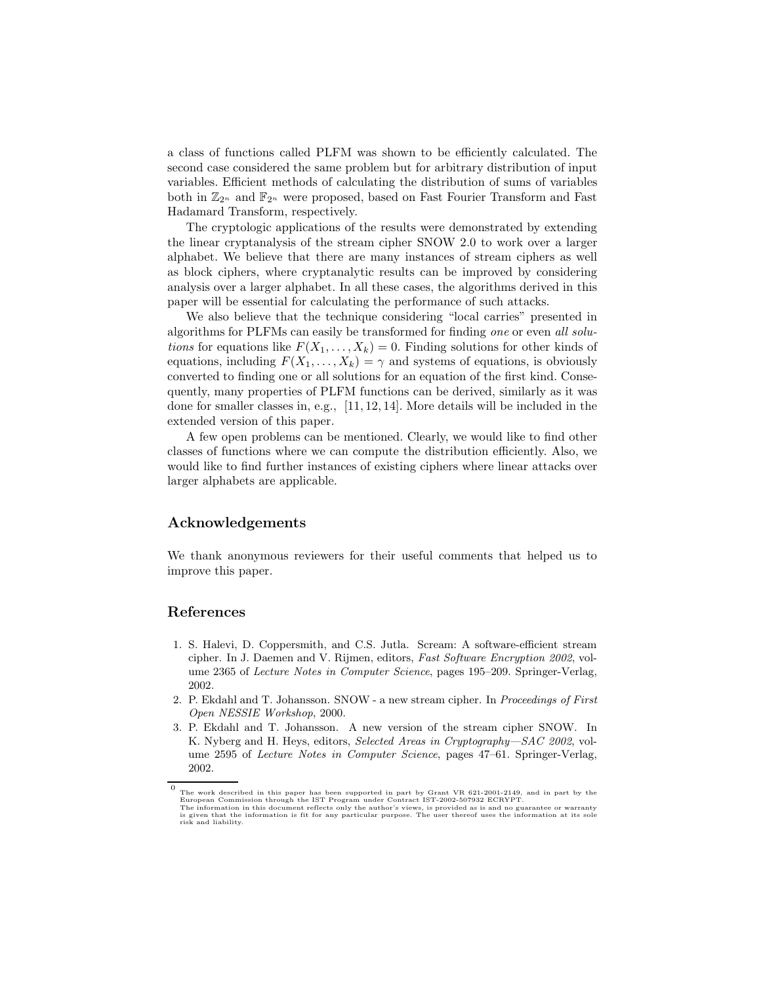a class of functions called PLFM was shown to be efficiently calculated. The second case considered the same problem but for arbitrary distribution of input variables. Efficient methods of calculating the distribution of sums of variables both in  $\mathbb{Z}_{2^n}$  and  $\mathbb{F}_{2^n}$  were proposed, based on Fast Fourier Transform and Fast Hadamard Transform, respectively.

The cryptologic applications of the results were demonstrated by extending the linear cryptanalysis of the stream cipher SNOW 2.0 to work over a larger alphabet. We believe that there are many instances of stream ciphers as well as block ciphers, where cryptanalytic results can be improved by considering analysis over a larger alphabet. In all these cases, the algorithms derived in this paper will be essential for calculating the performance of such attacks.

We also believe that the technique considering "local carries" presented in algorithms for PLFMs can easily be transformed for finding *one* or even *all solutions* for equations like  $F(X_1,...,X_k) = 0$ . Finding solutions for other kinds of equations, including  $F(X_1,...,X_k) = \gamma$  and systems of equations, is obviously converted to finding one or all solutions for an equation of the first kind. Consequently, many properties of PLFM functions can be derived, similarly as it was done for smaller classes in, e.g., [11, 12, 14]. More details will be included in the extended version of this paper.

A few open problems can be mentioned. Clearly, we would like to find other classes of functions where we can compute the distribution efficiently. Also, we would like to find further instances of existing ciphers where linear attacks over larger alphabets are applicable.

### **Acknowledgements**

We thank anonymous reviewers for their useful comments that helped us to improve this paper.

## **References**

- 1. S. Halevi, D. Coppersmith, and C.S. Jutla. Scream: A software-efficient stream cipher. In J. Daemen and V. Rijmen, editors, *Fast Software Encryption 2002*, volume 2365 of *Lecture Notes in Computer Science*, pages 195–209. Springer-Verlag, 2002.
- 2. P. Ekdahl and T. Johansson. SNOW a new stream cipher. In *Proceedings of First Open NESSIE Workshop*, 2000.
- 3. P. Ekdahl and T. Johansson. A new version of the stream cipher SNOW. In K. Nyberg and H. Heys, editors, *Selected Areas in Cryptography—SAC 2002*, volume 2595 of *Lecture Notes in Computer Science*, pages 47–61. Springer-Verlag, 2002.

The work described in this paper has been supported in part by Grant VR 621-2001-2149, and in part by the European Commission through the IST Program under Contract IST-2002-507932 ECRYPT.<br>The information in this document reflects only the author's views, is provided as is and no guarantee or warranty<br>is given that the informa risk and liability.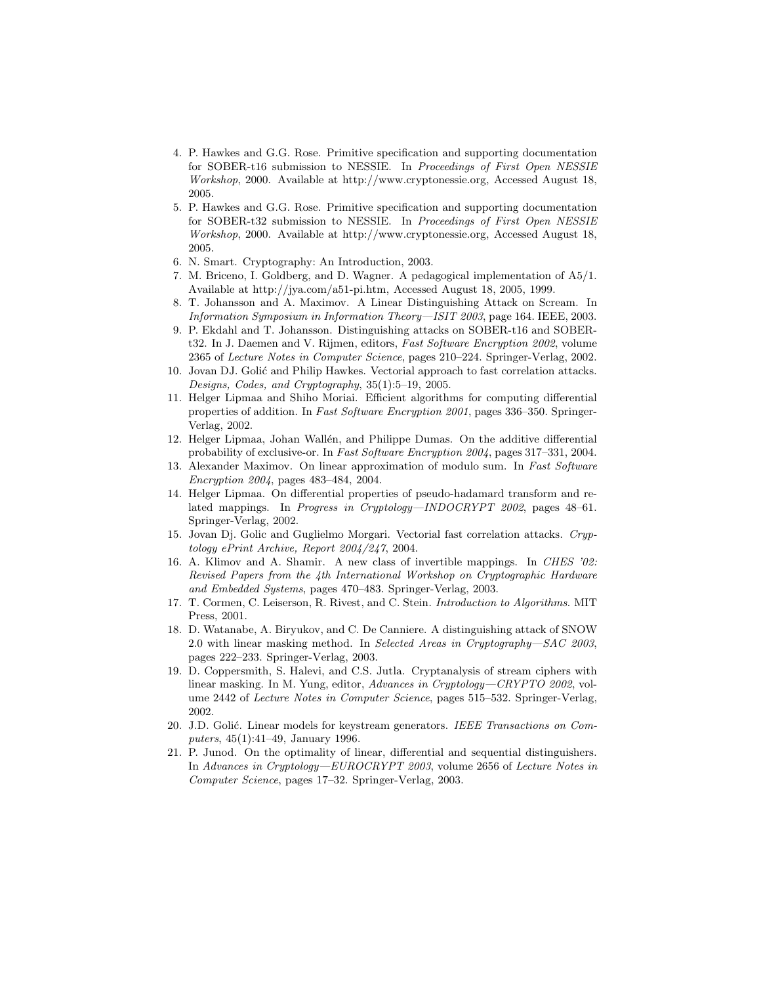- 4. P. Hawkes and G.G. Rose. Primitive specification and supporting documentation for SOBER-t16 submission to NESSIE. In *Proceedings of First Open NESSIE Workshop*, 2000. Available at http://www.cryptonessie.org, Accessed August 18, 2005.
- 5. P. Hawkes and G.G. Rose. Primitive specification and supporting documentation for SOBER-t32 submission to NESSIE. In *Proceedings of First Open NESSIE Workshop*, 2000. Available at http://www.cryptonessie.org, Accessed August 18, 2005.
- 6. N. Smart. Cryptography: An Introduction, 2003.
- 7. M. Briceno, I. Goldberg, and D. Wagner. A pedagogical implementation of A5/1. Available at http://jya.com/a51-pi.htm, Accessed August 18, 2005, 1999.
- 8. T. Johansson and A. Maximov. A Linear Distinguishing Attack on Scream. In *Information Symposium in Information Theory—ISIT 2003*, page 164. IEEE, 2003.
- 9. P. Ekdahl and T. Johansson. Distinguishing attacks on SOBER-t16 and SOBERt32. In J. Daemen and V. Rijmen, editors, *Fast Software Encryption 2002*, volume 2365 of *Lecture Notes in Computer Science*, pages 210–224. Springer-Verlag, 2002.
- 10. Jovan DJ. Golić and Philip Hawkes. Vectorial approach to fast correlation attacks. *Designs, Codes, and Cryptography*, 35(1):5–19, 2005.
- 11. Helger Lipmaa and Shiho Moriai. Efficient algorithms for computing differential properties of addition. In *Fast Software Encryption 2001*, pages 336–350. Springer-Verlag, 2002.
- 12. Helger Lipmaa, Johan Wallén, and Philippe Dumas. On the additive differential probability of exclusive-or. In *Fast Software Encryption 2004*, pages 317–331, 2004.
- 13. Alexander Maximov. On linear approximation of modulo sum. In *Fast Software Encryption 2004*, pages 483–484, 2004.
- 14. Helger Lipmaa. On differential properties of pseudo-hadamard transform and related mappings. In *Progress in Cryptology—INDOCRYPT 2002*, pages 48–61. Springer-Verlag, 2002.
- 15. Jovan Dj. Golic and Guglielmo Morgari. Vectorial fast correlation attacks. *Cryptology ePrint Archive, Report 2004/247*, 2004.
- 16. A. Klimov and A. Shamir. A new class of invertible mappings. In *CHES '02: Revised Papers from the 4th International Workshop on Cryptographic Hardware and Embedded Systems*, pages 470–483. Springer-Verlag, 2003.
- 17. T. Cormen, C. Leiserson, R. Rivest, and C. Stein. *Introduction to Algorithms*. MIT Press, 2001.
- 18. D. Watanabe, A. Biryukov, and C. De Canniere. A distinguishing attack of SNOW 2.0 with linear masking method. In *Selected Areas in Cryptography—SAC 2003*, pages 222–233. Springer-Verlag, 2003.
- 19. D. Coppersmith, S. Halevi, and C.S. Jutla. Cryptanalysis of stream ciphers with linear masking. In M. Yung, editor, *Advances in Cryptology—CRYPTO 2002*, volume 2442 of *Lecture Notes in Computer Science*, pages 515–532. Springer-Verlag, 2002.
- 20. J.D. Golić. Linear models for keystream generators. *IEEE Transactions on Computers*, 45(1):41–49, January 1996.
- 21. P. Junod. On the optimality of linear, differential and sequential distinguishers. In *Advances in Cryptology—EUROCRYPT 2003*, volume 2656 of *Lecture Notes in Computer Science*, pages 17–32. Springer-Verlag, 2003.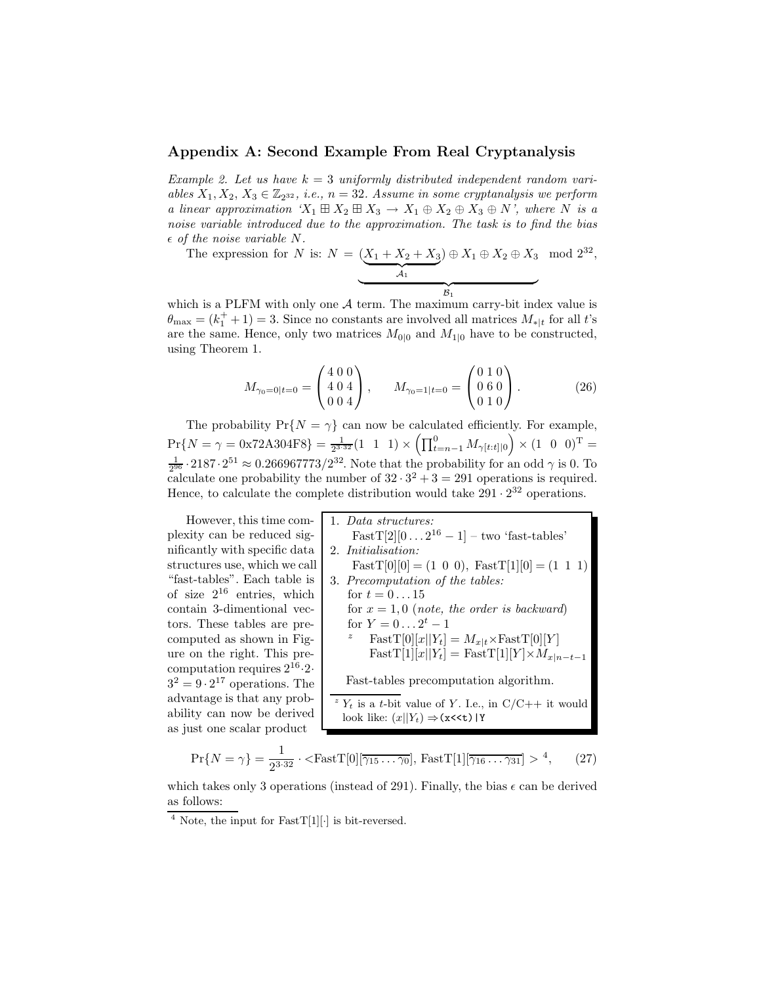### **Appendix A: Second Example From Real Cryptanalysis**

*Example 2. Let us have* k = 3 *uniformly distributed independent random variables*  $X_1, X_2, X_3 \in \mathbb{Z}_{2^{32}}$ , *i.e.*,  $n = 32$ . Assume in some cryptanalysis we perform *a linear approximation*  $'X_1 \boxplus X_2 \boxplus X_3 \rightarrow X_1 \oplus X_2 \oplus X_3 \oplus N'$ , where N is a *noise variable introduced due to the approximation. The task is to find the bias of the noise variable* N*.*

The expression for N is:  $N = (X_1 + X_2 + X_3)$  $) \oplus X_1 \oplus X_2 \oplus X_3 \mod 2^{32},$ 

$$
\begin{array}{c|c}\n\hline\n & A_1 \\
\hline\n & B_1\n\end{array}
$$

which is a PLFM with only one  $A$  term. The maximum carry-bit index value is  $\theta_{\text{max}} = (k_1^+ + 1) = 3$ . Since no constants are involved all matrices  $M_{*|t}$  for all t's are the same. Hence, only two matrices  $M_{0|0}$  and  $M_{1|0}$  have to be constructed, using Theorem 1.

$$
M_{\gamma_0=0|t=0} = \begin{pmatrix} 4 & 0 & 0 \\ 4 & 0 & 4 \\ 0 & 0 & 4 \end{pmatrix}, \qquad M_{\gamma_0=1|t=0} = \begin{pmatrix} 0 & 1 & 0 \\ 0 & 6 & 0 \\ 0 & 1 & 0 \end{pmatrix}.
$$
 (26)

The probability  $Pr{N = \gamma}$  can now be calculated efficiently. For example,  $\Pr\{N = \gamma = 0 \times 72\text{A}304\text{F8}\} = \frac{1}{2^{3 \cdot 32}}(1 \quad 1 \quad 1) \times \left(\prod_{t=n-1}^{0} M_{\gamma[t:t]|0}\right) \times (1 \quad 0 \quad 0)^{\text{T}} =$  $\frac{1}{2^{96}} \cdot 2187 \cdot 2^{51} \approx 0.266967773/2^{32}$ . Note that the probability for an odd  $\gamma$  is 0. To calculate one probability the number of  $32 \cdot 3^2 + 3 = 291$  operations is required. Hence, to calculate the complete distribution would take  $291 \cdot 2^{32}$  operations.

However, this time complexity can be reduced significantly with specific data structures use, which we call "fast-tables". Each table is of size  $2^{16}$  entries, which contain 3-dimentional vectors. These tables are precomputed as shown in Figure on the right. This precomputation requires  $2^{16} \cdot 2$ .  $3^2 = 9 \cdot 2^{17}$  operations. The advantage is that any probability can now be derived as just one scalar product

1. *Data structures:*  $FastT[2][0 \dots 2^{16} - 1] - two 'fast-tables'$ 2. *Initialisation:*  $FastT[0][0] = (1 \ 0 \ 0), FastT[1][0] = (1 \ 1 \ 1)$ 3. *Precomputation of the tables:* for  $t = 0 \dots 15$ for  $x = 1, 0$  (*note, the order is backward*) for  $Y = 0...2^t - 1$ *z* FastT[0][ $x$ || $Y_t$ ] =  $M_{x|t}$ ×FastT[0][ $Y$ ]  $FastT[1][x||Y_t] = FastT[1][Y] \times M_{x|n-t-1}$ Fast-tables precomputation algorithm.  $Z^2 Y_t$  is a t-bit value of Y. I.e., in C/C++ it would look like:  $(x||Y_t) \Rightarrow (x \le t) | Y_t$ 

$$
\Pr\{N=\gamma\} = \frac{1}{2^{3\cdot 32}} \cdot \langle \text{FastT}[0][\overline{\gamma_{15} \dots \gamma_0}], \text{ FastT}[1][\overline{\gamma_{16} \dots \gamma_{31}}] > ^4, \tag{27}
$$

which takes only 3 operations (instead of 291). Finally, the bias  $\epsilon$  can be derived as follows:

 $4$  Note, the input for FastT[1][ $\cdot$ ] is bit-reversed.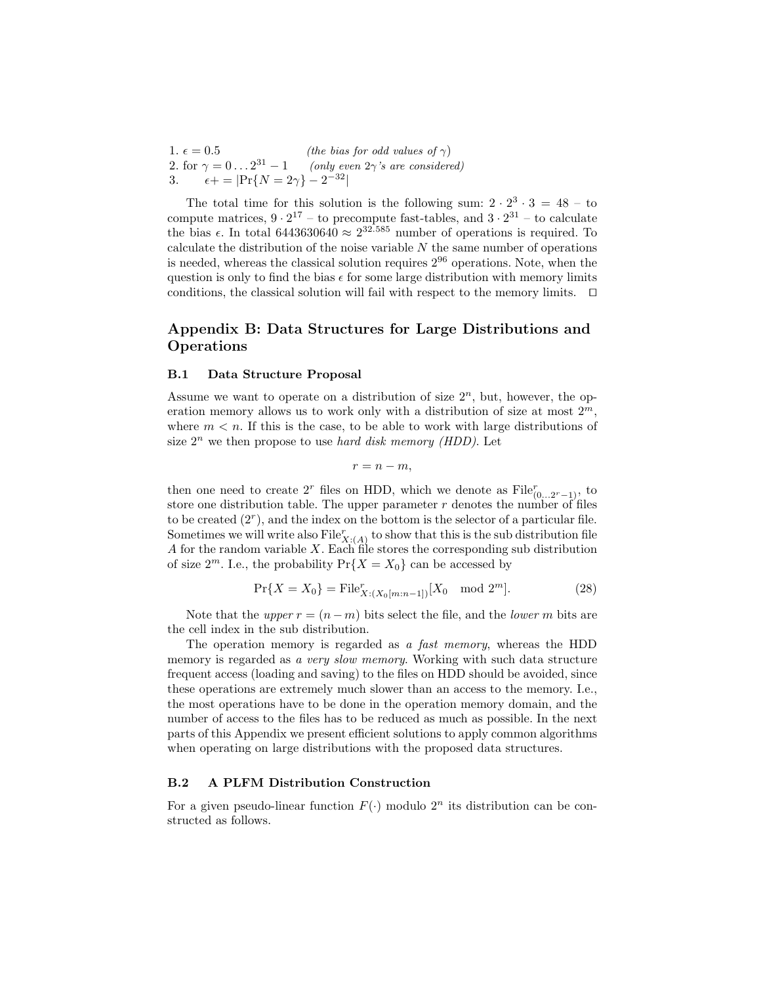1.  $\epsilon = 0.5$  *(the bias for odd values of*  $\gamma$ *)*<br>2. for  $\gamma = 0 \dots 2^{31} - 1$  *(only even 2* $\gamma$ *'s are consider*  $(only even 2\gamma's are considered)$  $\epsilon + = |Pr\{N = 2\gamma\} - 2^{-32}|$ 

The total time for this solution is the following sum:  $2 \cdot 2^3 \cdot 3 = 48 - \text{to}$ compute matrices,  $9 \cdot 2^{17}$  – to precompute fast-tables, and  $3 \cdot 2^{31}$  – to calculate the bias  $\epsilon$ . In total 6443630640  $\approx 2^{32.585}$  number of operations is required. To calculate the distribution of the noise variable  $N$  the same number of operations is needed, whereas the classical solution requires  $2^{96}$  operations. Note, when the question is only to find the bias  $\epsilon$  for some large distribution with memory limits conditions, the classical solution will fail with respect to the memory limits.  $\Box$ 

## **Appendix B: Data Structures for Large Distributions and Operations**

#### **B.1 Data Structure Proposal**

Assume we want to operate on a distribution of size  $2<sup>n</sup>$ , but, however, the operation memory allows us to work only with a distribution of size at most  $2^m$ , where  $m < n$ . If this is the case, to be able to work with large distributions of size  $2^n$  we then propose to use *hard disk memory (HDD)*. Let

 $r = n - m$ ,

then one need to create  $2^r$  files on HDD, which we denote as  $\text{File}_{(0...2^r-1)}^r$ , to store one distribution table. The upper parameter  $r$  denotes the number of files to be created  $(2<sup>r</sup>)$ , and the index on the bottom is the selector of a particular file. Sometimes we will write also  $\text{File}_{X:(A)}^r$  to show that this is the sub distribution file A for the random variable  $X$ . Each file stores the corresponding sub distribution of size  $2^m$ . I.e., the probability  $Pr\{X = X_0\}$  can be accessed by

$$
\Pr\{X = X_0\} = \text{File}_{X:(X_0[m:n-1])}^r[X_0 \mod 2^m].\tag{28}
$$

Note that the *upper*  $r = (n - m)$  bits select the file, and the *lower* m bits are the cell index in the sub distribution.

The operation memory is regarded as *a fast memory*, whereas the HDD memory is regarded as *a very slow memory*. Working with such data structure frequent access (loading and saving) to the files on HDD should be avoided, since these operations are extremely much slower than an access to the memory. I.e., the most operations have to be done in the operation memory domain, and the number of access to the files has to be reduced as much as possible. In the next parts of this Appendix we present efficient solutions to apply common algorithms when operating on large distributions with the proposed data structures.

#### **B.2 A PLFM Distribution Construction**

For a given pseudo-linear function  $F(\cdot)$  modulo  $2^n$  its distribution can be constructed as follows.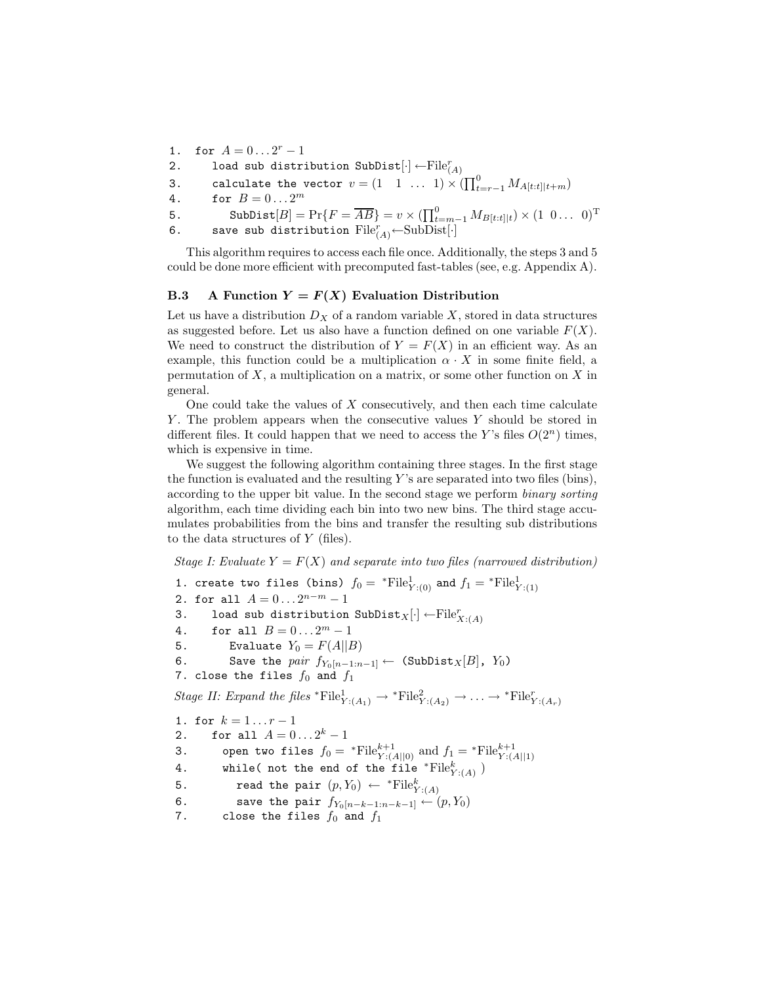- 1. for  $A = 0...2^r 1$
- 2. load sub distribution SubDist $[\cdot] \leftarrow \mathrm{File}_{(A)}^r$
- 3. calculate the vector  $v = \begin{pmatrix} 1 & 1 & \dots & 1 \end{pmatrix} \times \left( \prod_{t=r-1}^{0} M_{A[t:t]|t+m} \right)$
- 4. for  $B = 0... 2^m$

5. SubDist[B] = Pr{F = 
$$
\overline{AB}
$$
} =  $v \times (\prod_{t=m-1}^{0} M_{B[t:t]|t}) \times (1 \ 0 \dots \ 0)^{T}$ 

6. save sub distribution  $\text{File}_{(A)}^r \leftarrow \text{SubDist}[\cdot]$ 

This algorithm requires to access each file once. Additionally, the steps 3 and 5 could be done more efficient with precomputed fast-tables (see, e.g. Appendix A).

### **B.3** A Function  $Y = F(X)$  Evaluation Distribution

Let us have a distribution  $D_X$  of a random variable X, stored in data structures as suggested before. Let us also have a function defined on one variable  $F(X)$ . We need to construct the distribution of  $Y = F(X)$  in an efficient way. As an example, this function could be a multiplication  $\alpha \cdot X$  in some finite field, a permutation of  $X$ , a multiplication on a matrix, or some other function on  $X$  in general.

One could take the values of  $X$  consecutively, and then each time calculate Y . The problem appears when the consecutive values Y should be stored in different files. It could happen that we need to access the Y's files  $O(2^n)$  times, which is expensive in time.

We suggest the following algorithm containing three stages. In the first stage the function is evaluated and the resulting  $Y$ 's are separated into two files (bins), according to the upper bit value. In the second stage we perform *binary sorting* algorithm, each time dividing each bin into two new bins. The third stage accumulates probabilities from the bins and transfer the resulting sub distributions to the data structures of Y (files).

*Stage I: Evaluate*  $Y = F(X)$  *and separate into two files (narrowed distribution)* 

1. create two files (bins)  $f_0 = \sqrt[*]{\text{File}}^1_{Y:(0)}$  and  $f_1 = \sqrt[*]{\text{File}}^1_{Y:(1)}$ 2. for all  $A = 0...2^{n-m} - 1$ 3. load sub distribution  $\text{SubDist}_X[\cdot] \leftarrow \text{File}_{X:(A)}^r$ 4. for all  $B = 0... 2<sup>m</sup> - 1$ 5. Evaluate  $Y_0 = F(A||B)$ 6. Save the *pair*  $f_{Y_0[n-1:n-1]} \leftarrow$  (SubDist<sub>X</sub>[B], Y<sub>0</sub>) 7. close the files  $f_0$  and  $f_1$ *Stage II: Expand the files* \*File $^1_{Y:(A_1)} \rightarrow$  \*File $^2_{Y:(A_2)} \rightarrow \cdots \rightarrow$  \*File $^r_{Y:(A_r)}$ 1. for  $k = 1...r - 1$ 2. for all  $A = 0...2^k - 1$ 3. open two files  $f_0 = {}^* \text{File}_{Y:(A||0)}^{k+1}$  and  $f_1 = {}^* \text{File}_{Y:(A||1)}^{k+1}$ 4. while( not the end of the file \* $\text{File}_{Y:(A)}^k$ ) 5. read the pair  $(p, Y_0) \leftarrow$  \*File $_{Y:(A)}^k$ 6. save the pair  $f_{Y_0[n-k-1:n-k-1]} \leftarrow (p, Y_0)$ 7. close the files  $f_0$  and  $f_1$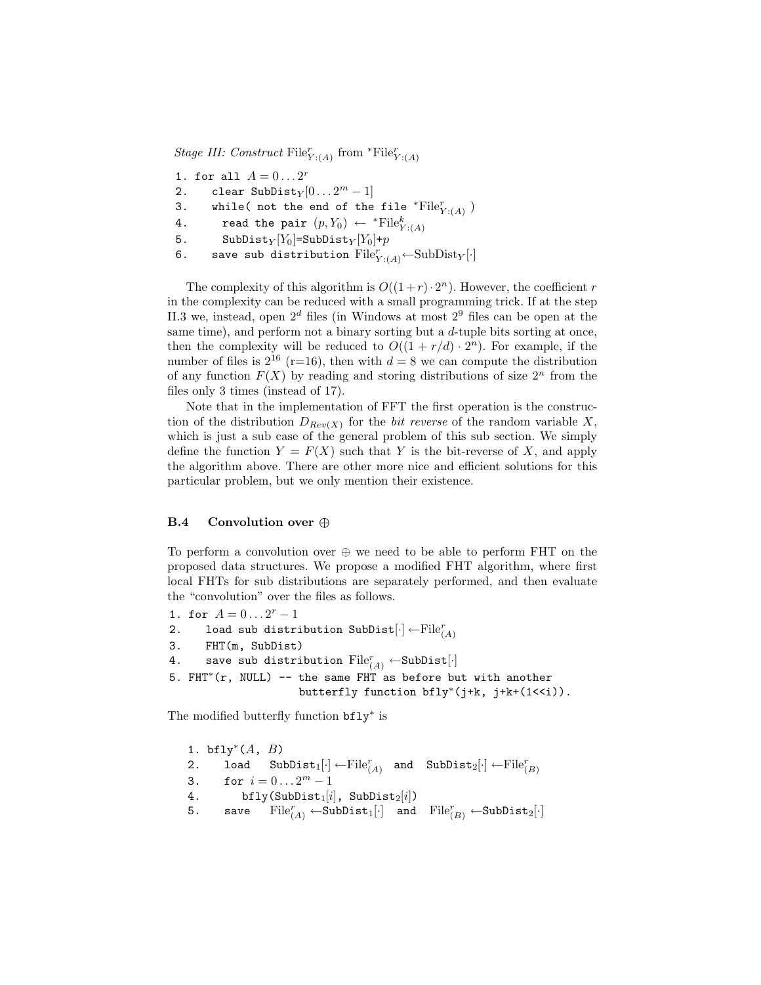*Stage III: Construct*  $\text{File}_{Y:(A)}^r$  from  ${}^*\text{File}_{Y:(A)}^r$ 

- 1. for all  $A = 0...2^r$
- 2. clear SubDist<sub>Y</sub>  $[0... 2<sup>m</sup> 1]$
- 3. while( not the end of the file \* $\text{File}_{Y:(A)}^r$ )
- 4. read the pair  $(p, Y_0) \leftarrow {}^{*} \text{File}_{Y : (A)}^k$
- 5. SubDist $_Y[Y_0]$ =SubDist $_Y[Y_0]+p$
- 6. save sub distribution  $\text{File}_{Y:(A)}^r$   $\leftarrow$  SubDist<sub>Y</sub>[.]

The complexity of this algorithm is  $O((1+r) \cdot 2^n)$ . However, the coefficient r in the complexity can be reduced with a small programming trick. If at the step II.3 we, instead, open  $2^d$  files (in Windows at most  $2^9$  files can be open at the same time), and perform not a binary sorting but a  $d$ -tuple bits sorting at once, then the complexity will be reduced to  $O((1 + r/d) \cdot 2^n)$ . For example, if the number of files is  $2^{16}$  (r=16), then with  $d = 8$  we can compute the distribution of any function  $F(X)$  by reading and storing distributions of size  $2<sup>n</sup>$  from the files only 3 times (instead of 17).

Note that in the implementation of FFT the first operation is the construction of the distribution  $D_{Rev(X)}$  for the *bit reverse* of the random variable X, which is just a sub case of the general problem of this sub section. We simply define the function  $Y = F(X)$  such that Y is the bit-reverse of X, and apply the algorithm above. There are other more nice and efficient solutions for this particular problem, but we only mention their existence.

### **B.4 Convolution over** *⊕*

To perform a convolution over  $\oplus$  we need to be able to perform FHT on the proposed data structures. We propose a modified FHT algorithm, where first local FHTs for sub distributions are separately performed, and then evaluate the "convolution" over the files as follows.

```
1. for A = 0...2^r - 1
```

```
2. load sub distribution SubDist[\cdot] \leftarrow \mathrm{File}_{(A)}^r
```

```
3. FHT(m, SubDist)
```

```
4. save sub distribution \text{File}^r_{(A)} \leftarrow \text{SubDist}[\cdot]
```

```
5. FHT∗(r, NULL) -- the same FHT as before but with another
                    butterfly function bfly∗(j+k, j+k+(1<<i)).
```
The modified butterfly function bfly<sup>∗</sup> is

```
1. bfly<sup>*</sup>(A, B)2. load SubDist<sub>1</sub>[\cdot] \leftarrow \text{File}_{(A)}^{r} and SubDist<sub>2</sub>[\cdot] \leftarrow \text{File}_{(B)}^{r}3. for i = 0...2^m - 14. bfly(SubDist<sub>1</sub>[i], SubDist<sub>2</sub>[i])
5. save \text{File}_{(A)}^r \leftarrow \text{SubDist}_1[\cdot] and \text{File}_{(B)}^r \leftarrow \text{SubDist}_2[\cdot]
```